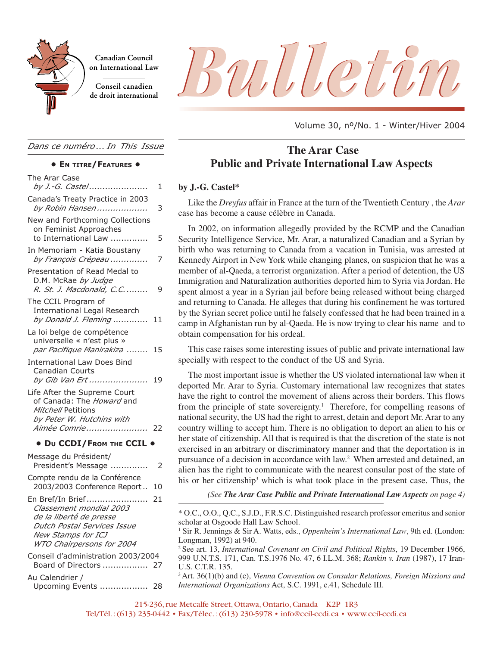

**Canadian Council on International Law**

**Conseil canadien**

# Canadian Council<br>On International Law<br>de droit international<br>de droit international

Volume 30, nº/No. 1 - Winter/Hiver 2004

## **The Arar Case Public and Private International Law Aspects**

#### **by J.-G. Castel\***

Like the *Dreyfus* affair in France at the turn of the Twentieth Century , the *Arar* case has become a cause célèbre in Canada.

In 2002, on information allegedly provided by the RCMP and the Canadian Security Intelligence Service, Mr. Arar, a naturalized Canadian and a Syrian by birth who was returning to Canada from a vacation in Tunisia, was arrested at Kennedy Airport in New York while changing planes, on suspicion that he was a member of al-Qaeda, a terrorist organization. After a period of detention, the US Immigration and Naturalization authorities deported him to Syria via Jordan. He spent almost a year in a Syrian jail before being released without being charged and returning to Canada. He alleges that during his confinement he was tortured by the Syrian secret police until he falsely confessed that he had been trained in a camp in Afghanistan run by al-Qaeda. He is now trying to clear his name and to obtain compensation for his ordeal.

This case raises some interesting issues of public and private international law specially with respect to the conduct of the US and Syria.

The most important issue is whether the US violated international law when it deported Mr. Arar to Syria. Customary international law recognizes that states have the right to control the movement of aliens across their borders. This flows from the principle of state sovereignty.1 Therefore, for compelling reasons of national security, the US had the right to arrest, detain and deport Mr. Arar to any country willing to accept him. There is no obligation to deport an alien to his or her state of citizenship. All that is required is that the discretion of the state is not exercised in an arbitrary or discriminatory manner and that the deportation is in pursuance of a decision in accordance with law.2 When arrested and detained, an alien has the right to communicate with the nearest consular post of the state of his or her citizenship<sup>3</sup> which is what took place in the present case. Thus, the

*(See The Arar Case Public and Private International Law Aspects on page 4)*

3 Art. 36(1)(b) and (c), *Vienna Convention on Consular Relations, Foreign Missions and International Organizations* Act, S.C. 1991, c.41, Schedule III.

*Dans ce numéro ... In This Issue*

#### **• EN TITRE/FEATURES •**

| The Arar Case<br>by J.-G. Castel                                                                                                                                | 1    |
|-----------------------------------------------------------------------------------------------------------------------------------------------------------------|------|
| Canada's Treaty Practice in 2003<br>by Robin Hansen                                                                                                             | 3    |
| New and Forthcoming Collections<br>on Feminist Approaches<br>to International Law                                                                               | 5    |
| In Memoriam - Katia Boustany<br>by François Crépeau                                                                                                             | 7    |
| Presentation of Read Medal to<br>D.M. McRae by Judge<br>R. St. J. Macdonald, C.C                                                                                | 9    |
| The CCIL Program of<br><b>International Legal Research</b><br>by Donald J. Fleming                                                                              | 11   |
| La loi belge de compétence<br>universelle « n'est plus »<br>par Pacifique Manirakiza                                                                            | 15   |
| <b>International Law Does Bind</b><br><b>Canadian Courts</b><br>by Gib Van Ert                                                                                  | 19   |
| Life After the Supreme Court<br>of Canada: The Howard and<br>Mitchell Petitions<br>by Peter W. Hutchins with<br>Aimée Comrie                                    | - 22 |
| • Du CCDI/FROM THE CCIL .                                                                                                                                       |      |
| Message du Président/<br>President's Message                                                                                                                    | 2    |
| Compte rendu de la Conférence<br>2003/2003 Conference Report                                                                                                    | 10   |
| En Bref/In Brief<br>Classement mondial 2003<br>de la liberté de presse<br>Dutch Postal Services Issue<br><b>New Stamps for ICJ</b><br>WTO Chairpersons for 2004 | 21   |
| Conseil d'administration 2003/2004<br>Board of Directors  27                                                                                                    |      |
| Au Calendrier /<br>Upcoming Events  28                                                                                                                          |      |

<sup>\*</sup> O.C., O.O., Q.C., S.J.D., F.R.S.C. Distinguished research professor emeritus and senior scholar at Osgoode Hall Law School.

<sup>1</sup> Sir R. Jennings & Sir A. Watts, eds., *Oppenheim's International Law*, 9th ed. (London: Longman, 1992) at 940.

<sup>2</sup> See art. 13, *International Covenant on Civil and Political Rights*, 19 December 1966, 999 U.N.T.S. 171, Can. T.S.1976 No. 47, 6 I.L.M. 368; *Rankin v. Iran* (1987), 17 Iran-U.S. C.T.R. 135.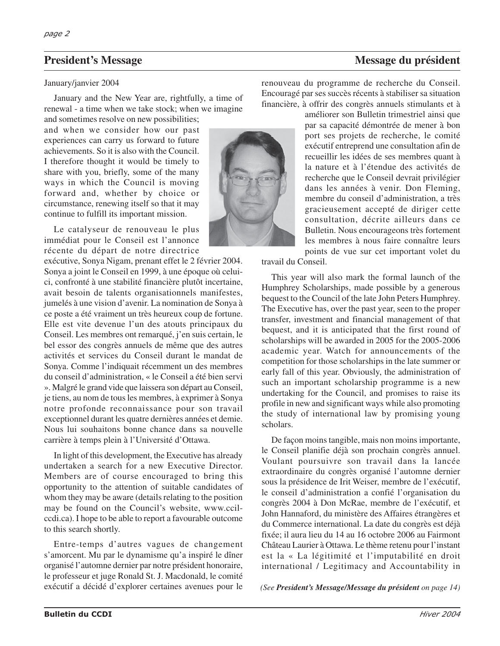#### January/janvier 2004

January and the New Year are, rightfully, a time of renewal - a time when we take stock; when we imagine

and sometimes resolve on new possibilities; and when we consider how our past experiences can carry us forward to future achievements. So it is also with the Council. I therefore thought it would be timely to share with you, briefly, some of the many ways in which the Council is moving forward and, whether by choice or circumstance, renewing itself so that it may continue to fulfill its important mission.

Le catalyseur de renouveau le plus immédiat pour le Conseil est l'annonce récente du départ de notre directrice

exécutive, Sonya Nigam, prenant effet le 2 février 2004. Sonya a joint le Conseil en 1999, à une époque où celuici, confronté à une stabilité financière plutôt incertaine, avait besoin de talents organisationnels manifestes, jumelés à une vision d'avenir. La nomination de Sonya à ce poste a été vraiment un très heureux coup de fortune. Elle est vite devenue l'un des atouts principaux du Conseil. Les membres ont remarqué, j'en suis certain, le bel essor des congrès annuels de même que des autres activités et services du Conseil durant le mandat de Sonya. Comme l'indiquait récemment un des membres du conseil d'administration, « le Conseil a été bien servi ». Malgré le grand vide que laissera son départ au Conseil, je tiens, au nom de tous les membres, à exprimer à Sonya notre profonde reconnaissance pour son travail exceptionnel durant les quatre dernières années et demie. Nous lui souhaitons bonne chance dans sa nouvelle carrière à temps plein à l'Université d'Ottawa.

In light of this development, the Executive has already undertaken a search for a new Executive Director. Members are of course encouraged to bring this opportunity to the attention of suitable candidates of whom they may be aware (details relating to the position may be found on the Council's website, www.ccilccdi.ca). I hope to be able to report a favourable outcome to this search shortly.

Entre-temps d'autres vagues de changement s'amorcent. Mu par le dynamisme qu'a inspiré le dîner organisé l'automne dernier par notre président honoraire, le professeur et juge Ronald St. J. Macdonald, le comité exécutif a décidé d'explorer certaines avenues pour le

renouveau du programme de recherche du Conseil. Encouragé par ses succès récents à stabiliser sa situation financière, à offrir des congrès annuels stimulants et à

> améliorer son Bulletin trimestriel ainsi que par sa capacité démontrée de mener à bon port ses projets de recherche, le comité exécutif entreprend une consultation afin de recueillir les idées de ses membres quant à la nature et à l'étendue des activités de recherche que le Conseil devrait privilégier dans les années à venir. Don Fleming, membre du conseil d'administration, a très gracieusement accepté de diriger cette consultation, décrite ailleurs dans ce Bulletin. Nous encourageons très fortement les membres à nous faire connaître leurs points de vue sur cet important volet du

travail du Conseil.

This year will also mark the formal launch of the Humphrey Scholarships, made possible by a generous bequest to the Council of the late John Peters Humphrey. The Executive has, over the past year, seen to the proper transfer, investment and financial management of that bequest, and it is anticipated that the first round of scholarships will be awarded in 2005 for the 2005-2006 academic year. Watch for announcements of the competition for those scholarships in the late summer or early fall of this year. Obviously, the administration of such an important scholarship programme is a new undertaking for the Council, and promises to raise its profile in new and significant ways while also promoting the study of international law by promising young scholars.

De façon moins tangible, mais non moins importante, le Conseil planifie déjà son prochain congrès annuel. Voulant poursuivre son travail dans la lancée extraordinaire du congrès organisé l'automne dernier sous la présidence de Irit Weiser, membre de l'exécutif, le conseil d'administration a confié l'organisation du congrès 2004 à Don McRae, membre de l'exécutif, et John Hannaford, du ministère des Affaires étrangères et du Commerce international. La date du congrès est déjà fixée; il aura lieu du 14 au 16 octobre 2006 au Fairmont Château Laurier à Ottawa. Le thème retenu pour l'instant est la « La légitimité et l'imputabilité en droit international / Legitimacy and Accountability in

*(See President's Message/Message du président on page 14)*

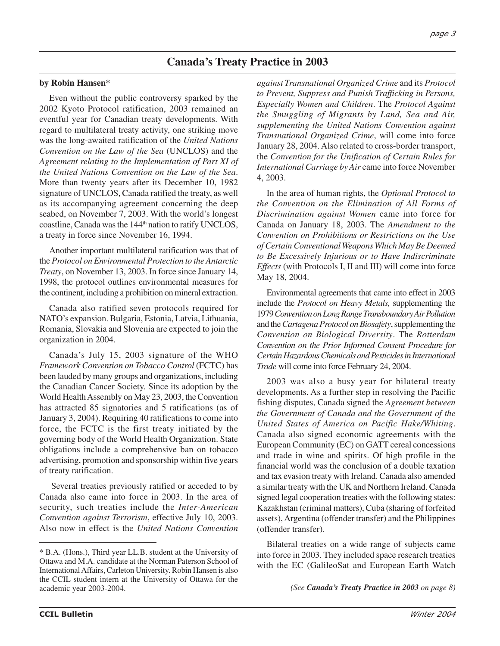# **Canada's Treaty Practice in 2003**

#### **by Robin Hansen\***

Even without the public controversy sparked by the 2002 Kyoto Protocol ratification, 2003 remained an eventful year for Canadian treaty developments. With regard to multilateral treaty activity, one striking move was the long-awaited ratification of the *United Nations Convention on the Law of the Sea* (UNCLOS) and the *Agreement relating to the Implementation of Part XI of the United Nations Convention on the Law of the Sea*. More than twenty years after its December 10, 1982 signature of UNCLOS, Canada ratified the treaty, as well as its accompanying agreement concerning the deep seabed, on November 7, 2003. With the world's longest coastline, Canada was the 144<sup>th</sup> nation to ratify UNCLOS, a treaty in force since November 16, 1994.

Another important multilateral ratification was that of the *Protocol on Environmental Protection to the Antarctic Treaty*, on November 13, 2003. In force since January 14, 1998, the protocol outlines environmental measures for the continent, including a prohibition on mineral extraction.

Canada also ratified seven protocols required for NATO's expansion. Bulgaria, Estonia, Latvia, Lithuania, Romania, Slovakia and Slovenia are expected to join the organization in 2004.

Canada's July 15, 2003 signature of the WHO *Framework Convention on Tobacco Control* (FCTC) has been lauded by many groups and organizations, including the Canadian Cancer Society. Since its adoption by the World Health Assembly on May 23, 2003, the Convention has attracted 85 signatories and 5 ratifications (as of January 3, 2004). Requiring 40 ratifications to come into force, the FCTC is the first treaty initiated by the governing body of the World Health Organization. State obligations include a comprehensive ban on tobacco advertising, promotion and sponsorship within five years of treaty ratification.

Several treaties previously ratified or acceded to by Canada also came into force in 2003. In the area of security, such treaties include the *Inter-American Convention against Terrorism*, effective July 10, 2003. Also now in effect is the *United Nations Convention*

*against Transnational Organized Crime* and its *Protocol to Prevent, Suppress and Punish Trafficking in Persons, Especially Women and Children*. The *Protocol Against the Smuggling of Migrants by Land, Sea and Air, supplementing the United Nations Convention against Transnational Organized Crime*, will come into force January 28, 2004. Also related to cross-border transport, the *Convention for the Unification of Certain Rules for International Carriage by Air* came into force November 4, 2003.

In the area of human rights, the *Optional Protocol to the Convention on the Elimination of All Forms of Discrimination against Women* came into force for Canada on January 18, 2003. The *Amendment to the Convention on Prohibitions or Restrictions on the Use of Certain Conventional Weapons Which May Be Deemed to Be Excessively Injurious or to Have Indiscriminate Effects* (with Protocols I, II and III) will come into force May 18, 2004.

Environmental agreements that came into effect in 2003 include the *Protocol on Heavy Metals,* supplementing the 1979 *Convention on Long Range Transboundary Air Pollution* and the *Cartagena Protocol on Biosafety*, supplementing the *Convention on Biological Diversity*. The *Rotterdam Convention on the Prior Informed Consent Procedure for Certain Hazardous Chemicals and Pesticides in International Trade* will come into force February 24, 2004.

2003 was also a busy year for bilateral treaty developments. As a further step in resolving the Pacific fishing disputes, Canada signed the *Agreement between the Government of Canada and the Government of the United States of America on Pacific Hake/Whiting*. Canada also signed economic agreements with the European Community (EC) on GATT cereal concessions and trade in wine and spirits. Of high profile in the financial world was the conclusion of a double taxation and tax evasion treaty with Ireland. Canada also amended a similar treaty with the UK and Northern Ireland. Canada signed legal cooperation treaties with the following states: Kazakhstan (criminal matters), Cuba (sharing of forfeited assets), Argentina (offender transfer) and the Philippines (offender transfer).

Bilateral treaties on a wide range of subjects came into force in 2003. They included space research treaties with the EC (GalileoSat and European Earth Watch

<sup>\*</sup> B.A. (Hons.), Third year LL.B. student at the University of Ottawa and M.A. candidate at the Norman Paterson School of International Affairs, Carleton University. Robin Hansen is also the CCIL student intern at the University of Ottawa for the academic year 2003-2004.

*<sup>(</sup>See Canada's Treaty Practice in 2003 on page 8)*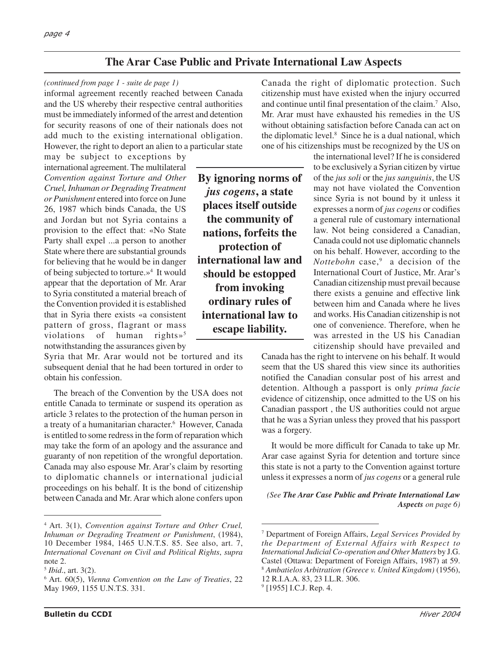# **The Arar Case Public and Private International Law Aspects**

#### *(continued from page 1 - suite de page 1)*

informal agreement recently reached between Canada and the US whereby their respective central authorities must be immediately informed of the arrest and detention for security reasons of one of their nationals does not add much to the existing international obligation. However, the right to deport an alien to a particular state

may be subject to exceptions by international agreement. The multilateral *Convention against Torture and Other Cruel, Inhuman or Degrading Treatment or Punishment* entered into force on June 26, 1987 which binds Canada, the US and Jordan but not Syria contains a provision to the effect that: «No State Party shall expel ...a person to another State where there are substantial grounds for believing that he would be in danger of being subjected to torture. $\mathcal{P}^4$  It would appear that the deportation of Mr. Arar to Syria constituted a material breach of the Convention provided it is established that in Syria there exists «a consistent pattern of gross, flagrant or mass violations of human rights»<sup>5</sup> notwithstanding the assurances given by

Syria that Mr. Arar would not be tortured and its subsequent denial that he had been tortured in order to obtain his confession.

The breach of the Convention by the USA does not entitle Canada to terminate or suspend its operation as article 3 relates to the protection of the human person in a treaty of a humanitarian character.6 However, Canada is entitled to some redress in the form of reparation which may take the form of an apology and the assurance and guaranty of non repetition of the wrongful deportation. Canada may also espouse Mr. Arar's claim by resorting to diplomatic channels or international judicial proceedings on his behalf. It is the bond of citizenship between Canada and Mr. Arar which alone confers upon Canada the right of diplomatic protection. Such citizenship must have existed when the injury occurred and continue until final presentation of the claim.7 Also, Mr. Arar must have exhausted his remedies in the US without obtaining satisfaction before Canada can act on the diplomatic level.8 Since he is a dual national, which one of his citizenships must be recognized by the US on

**By ignoring norms of** *jus cogens***, a state places itself outside the community of nations, forfeits the protection of international law and should be estopped from invoking ordinary rules of international law to escape liability.**

the international level? If he is considered to be exclusively a Syrian citizen by virtue of the *jus soli* or the *jus sanguinis*, the US may not have violated the Convention since Syria is not bound by it unless it expresses a norm of *jus cogens* or codifies a general rule of customary international law. Not being considered a Canadian, Canada could not use diplomatic channels on his behalf. However, according to the *Nottebohn* case,9 a decision of the International Court of Justice, Mr. Arar's Canadian citizenship must prevail because there exists a genuine and effective link between him and Canada where he lives and works. His Canadian citizenship is not one of convenience. Therefore, when he was arrested in the US his Canadian citizenship should have prevailed and

Canada has the right to intervene on his behalf. It would seem that the US shared this view since its authorities notified the Canadian consular post of his arrest and detention. Although a passport is only *prima facie* evidence of citizenship, once admitted to the US on his Canadian passport , the US authorities could not argue that he was a Syrian unless they proved that his passport was a forgery.

It would be more difficult for Canada to take up Mr. Arar case against Syria for detention and torture since this state is not a party to the Convention against torture unless it expresses a norm of *jus cogens* or a general rule

*(See The Arar Case Public and Private International Law Aspects on page 6)*

<sup>4</sup> Art. 3(1), *Convention against Torture and Other Cruel, Inhuman or Degrading Treatment or Punishment*, (1984), 10 December 1984, 1465 U.N.T.S. 85. See also, art. 7, *International Covenant on Civil and Political Rights*, *supra* note 2.

<sup>5</sup> *Ibid*., art. 3(2).

<sup>6</sup> Art. 60(5), *Vienna Convention on the Law of Treaties*, 22 May 1969, 1155 U.N.T.S. 331.

<sup>7</sup> Department of Foreign Affairs, *Legal Services Provided by the Department of External Affairs with Respect to International Judicial Co-operation and Other Matters* by J.G. Castel (Ottawa: Department of Foreign Affairs, 1987) at 59. <sup>8</sup> *Ambatielos Arbitration (Greece v. United Kingdom)* (1956), 12 R.I.A.A. 83, 23 I.L.R. 306.

<sup>&</sup>lt;sup>9</sup> [1955] I.C.J. Rep. 4.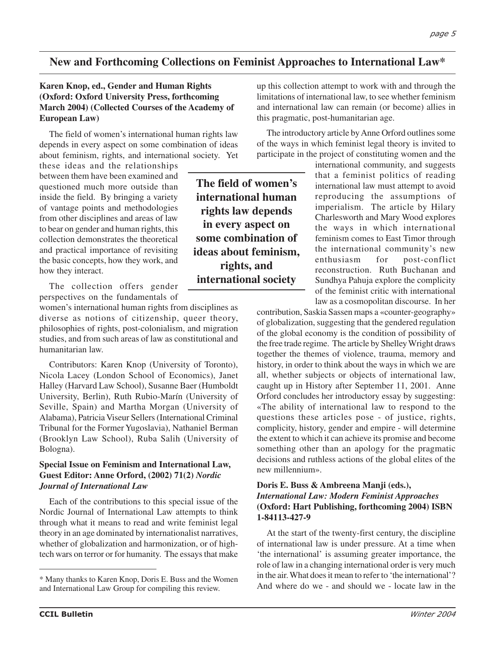# **New and Forthcoming Collections on Feminist Approaches to International Law\***

#### **Karen Knop, ed., Gender and Human Rights (Oxford: Oxford University Press, forthcoming March 2004) (Collected Courses of the Academy of European Law)**

The field of women's international human rights law depends in every aspect on some combination of ideas about feminism, rights, and international society. Yet

these ideas and the relationships between them have been examined and questioned much more outside than inside the field. By bringing a variety of vantage points and methodologies from other disciplines and areas of law to bear on gender and human rights, this collection demonstrates the theoretical and practical importance of revisiting the basic concepts, how they work, and how they interact.

The collection offers gender perspectives on the fundamentals of

women's international human rights from disciplines as diverse as notions of citizenship, queer theory, philosophies of rights, post-colonialism, and migration studies, and from such areas of law as constitutional and humanitarian law.

Contributors: Karen Knop (University of Toronto), Nicola Lacey (London School of Economics), Janet Halley (Harvard Law School), Susanne Baer (Humboldt University, Berlin), Ruth Rubio-Marín (University of Seville, Spain) and Martha Morgan (University of Alabama), Patricia Viseur Sellers (International Criminal Tribunal for the Former Yugoslavia), Nathaniel Berman (Brooklyn Law School), Ruba Salih (University of Bologna).

#### **Special Issue on Feminism and International Law, Guest Editor: Anne Orford, (2002) 71(2)** *Nordic Journal of International Law*

Each of the contributions to this special issue of the Nordic Journal of International Law attempts to think through what it means to read and write feminist legal theory in an age dominated by internationalist narratives, whether of globalization and harmonization, or of hightech wars on terror or for humanity. The essays that make

**The field of women's international human rights law depends in every aspect on some combination of ideas about feminism, rights, and international society**

up this collection attempt to work with and through the limitations of international law, to see whether feminism and international law can remain (or become) allies in this pragmatic, post-humanitarian age.

The introductory article by Anne Orford outlines some of the ways in which feminist legal theory is invited to participate in the project of constituting women and the

> international community, and suggests that a feminist politics of reading international law must attempt to avoid reproducing the assumptions of imperialism. The article by Hilary Charlesworth and Mary Wood explores the ways in which international feminism comes to East Timor through the international community's new enthusiasm for post-conflict reconstruction. Ruth Buchanan and Sundhya Pahuja explore the complicity of the feminist critic with international law as a cosmopolitan discourse. In her

contribution, Saskia Sassen maps a «counter-geography» of globalization, suggesting that the gendered regulation of the global economy is the condition of possibility of the free trade regime. The article by Shelley Wright draws together the themes of violence, trauma, memory and history, in order to think about the ways in which we are all, whether subjects or objects of international law, caught up in History after September 11, 2001. Anne Orford concludes her introductory essay by suggesting: «The ability of international law to respond to the questions these articles pose - of justice, rights, complicity, history, gender and empire - will determine the extent to which it can achieve its promise and become something other than an apology for the pragmatic decisions and ruthless actions of the global elites of the new millennium».

#### **Doris E. Buss & Ambreena Manji (eds.),** *International Law: Modern Feminist Approaches* **(Oxford: Hart Publishing, forthcoming 2004) ISBN 1-84113-427-9**

At the start of the twenty-first century, the discipline of international law is under pressure. At a time when 'the international' is assuming greater importance, the role of law in a changing international order is very much in the air. What does it mean to refer to 'the international'?

<sup>&</sup>lt;sup>\*</sup> Many thanks to Karen Knop, Doris E. Buss and the Women and the wind where do we - and should we - locate law in the \* and International I am Group for compiling this rayion. and International Law Group for compiling this review.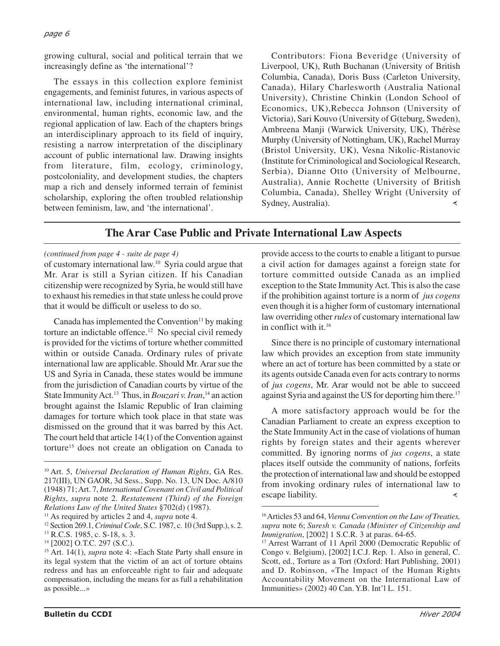growing cultural, social and political terrain that we increasingly define as 'the international'?

The essays in this collection explore feminist engagements, and feminist futures, in various aspects of international law, including international criminal, environmental, human rights, economic law, and the regional application of law. Each of the chapters brings an interdisciplinary approach to its field of inquiry, resisting a narrow interpretation of the disciplinary account of public international law. Drawing insights from literature, film, ecology, criminology, postcoloniality, and development studies, the chapters map a rich and densely informed terrain of feminist scholarship, exploring the often troubled relationship between feminism, law, and 'the international'.

Contributors: Fiona Beveridge (University of Liverpool, UK), Ruth Buchanan (University of British Columbia, Canada), Doris Buss (Carleton University, Canada), Hilary Charlesworth (Australia National University), Christine Chinkin (London School of Economics, UK),Rebecca Johnson (University of Victoria), Sari Kouvo (University of G(teburg, Sweden), Ambreena Manji (Warwick University, UK), Thérèse Murphy (University of Nottingham, UK), Rachel Murray (Bristol University, UK), Vesna Nikolic-Ristanovic (Institute for Criminological and Sociological Research, Serbia), Dianne Otto (University of Melbourne, Australia), Annie Rochette (University of British Columbia, Canada), Shelley Wright (University of Sydney, Australia). $\prec$ 

# **The Arar Case Public and Private International Law Aspects**

#### *(continued from page 4 - suite de page 4)*

of customary international law.10 Syria could argue that Mr. Arar is still a Syrian citizen. If his Canadian citizenship were recognized by Syria, he would still have to exhaust his remedies in that state unless he could prove that it would be difficult or useless to do so.

Canada has implemented the Convention<sup>11</sup> by making torture an indictable offence.<sup>12</sup> No special civil remedy is provided for the victims of torture whether committed within or outside Canada. Ordinary rules of private international law are applicable. Should Mr. Arar sue the US and Syria in Canada, these states would be immune from the jurisdiction of Canadian courts by virtue of the State Immunity Act.13 Thus, in *Bouzari v. Iran*, <sup>14</sup> an action brought against the Islamic Republic of Iran claiming damages for torture which took place in that state was dismissed on the ground that it was barred by this Act. The court held that article 14(1) of the Convention against torture15 does not create an obligation on Canada to

provide access to the courts to enable a litigant to pursue a civil action for damages against a foreign state for torture committed outside Canada as an implied exception to the State Immunity Act. This is also the case if the prohibition against torture is a norm of *jus cogens* even though it is a higher form of customary international law overriding other *rules* of customary international law in conflict with it.16

Since there is no principle of customary international law which provides an exception from state immunity where an act of torture has been committed by a state or its agents outside Canada even for acts contrary to norms of *jus cogens*, Mr. Arar would not be able to succeed against Syria and against the US for deporting him there.<sup>17</sup>

A more satisfactory approach would be for the Canadian Parliament to create an express exception to the State Immunity Act in the case of violations of human rights by foreign states and their agents wherever committed. By ignoring norms of *jus cogens*, a state places itself outside the community of nations, forfeits the protection of international law and should be estopped from invoking ordinary rules of international law to escape liability. ∢

<sup>10</sup> Art. 5, *Universal Declaration of Human Rights*, GA Res. 217(III), UN GAOR, 3d Sess., Supp. No. 13, UN Doc. A/810 (1948) 71; Art. 7, *International Covenant on Civil and Political Rights*, *supra* note 2. *Restatement (Third) of the Foreign Relations Law of the United States* §702(d) (1987).

<sup>11</sup> As required by articles 2 and 4, *supra* note 4.

<sup>12</sup> Section 269.1, *Criminal Code*, S.C. 1987, c. 10 (3rd Supp.), s. 2.

<sup>13</sup> R.C.S. 1985, c. S-18, s. 3.

<sup>14 [2002]</sup> O.T.C. 297 (S.C.).

<sup>15</sup> Art. 14(1), *supra* note 4: «Each State Party shall ensure in its legal system that the victim of an act of torture obtains redress and has an enforceable right to fair and adequate compensation, including the means for as full a rehabilitation as possible...»

<sup>16</sup> Articles 53 and 64, *Vienna Convention on the Law of Treaties, supra* note 6; *Suresh v. Canada (Minister of Citizenship and Immigration*, [2002] 1 S.C.R. 3 at paras. 64-65.

<sup>17</sup> Arrest Warrant of 11 April 2000 (Democratic Republic of Congo v. Belgium), [2002] I.C.J. Rep. 1. Also in general, C. Scott, ed., Torture as a Tort (Oxford: Hart Publishing, 2001) and D. Robinson, «The Impact of the Human Rights Accountability Movement on the International Law of Immunities» (2002) 40 Can. Y.B. Int'l L. 151.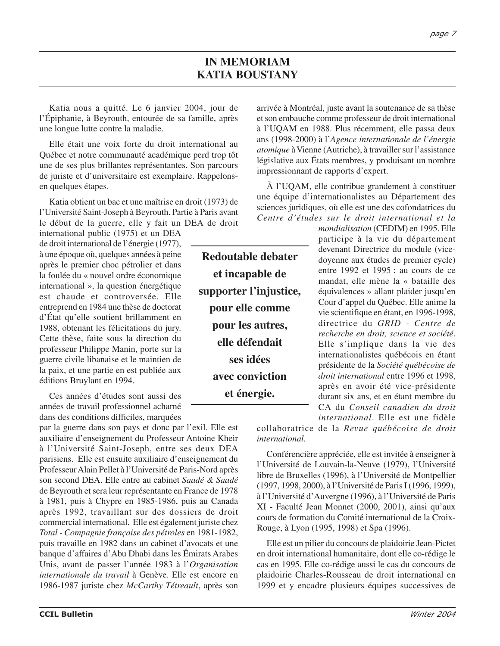Katia nous a quitté. Le 6 janvier 2004, jour de l'Épiphanie, à Beyrouth, entourée de sa famille, après une longue lutte contre la maladie.

Elle était une voix forte du droit international au Québec et notre communauté académique perd trop tôt une de ses plus brillantes représentantes. Son parcours de juriste et d'universitaire est exemplaire. Rappelonsen quelques étapes.

Katia obtient un bac et une maîtrise en droit (1973) de l'Université Saint-Joseph à Beyrouth. Partie à Paris avant le début de la guerre, elle y fait un DEA de droit

international public (1975) et un DEA de droit international de l'énergie (1977), à une époque où, quelques années à peine après le premier choc pétrolier et dans la foulée du « nouvel ordre économique international », la question énergétique est chaude et controversée. Elle entreprend en 1984 une thèse de doctorat d'État qu'elle soutient brillamment en 1988, obtenant les félicitations du jury. Cette thèse, faite sous la direction du professeur Philippe Manin, porte sur la guerre civile libanaise et le maintien de la paix, et une partie en est publiée aux éditions Bruylant en 1994.

Ces années d'études sont aussi des années de travail professionnel acharné dans des conditions difficiles, marquées

par la guerre dans son pays et donc par l'exil. Elle est auxiliaire d'enseignement du Professeur Antoine Kheir à l'Université Saint-Joseph, entre ses deux DEA parisiens. Elle est ensuite auxiliaire d'enseignement du Professeur Alain Pellet à l'Université de Paris-Nord après son second DEA. Elle entre au cabinet *Saadé & Saadé* de Beyrouth et sera leur représentante en France de 1978 à 1981, puis à Chypre en 1985-1986, puis au Canada après 1992, travaillant sur des dossiers de droit commercial international. Elle est également juriste chez *Total - Compagnie française des pétroles* en 1981-1982, puis travaille en 1982 dans un cabinet d'avocats et une banque d'affaires d'Abu Dhabi dans les Émirats Arabes Unis, avant de passer l'année 1983 à l'*Organisation internationale du travail* à Genève. Elle est encore en 1986-1987 juriste chez *McCarthy Tétreault*, après son

**Redoutable debater et incapable de supporter l'injustice, pour elle comme pour les autres, elle défendait ses idées avec conviction et énergie.**

arrivée à Montréal, juste avant la soutenance de sa thèse et son embauche comme professeur de droit international à l'UQAM en 1988. Plus récemment, elle passa deux ans (1998-2000) à l'*Agence internationale de l'énergie atomique* à Vienne (Autriche), à travailler sur l'assistance législative aux États membres, y produisant un nombre impressionnant de rapports d'expert.

À l'UQAM, elle contribue grandement à constituer une équipe d'internationalistes au Département des sciences juridiques, où elle est une des cofondatrices du *Centre d'études sur le droit international et la*

*mondialisation* (CEDIM) en 1995. Elle participe à la vie du département devenant Directrice du module (vicedoyenne aux études de premier cycle) entre 1992 et 1995 : au cours de ce mandat, elle mène la « bataille des équivalences » allant plaider jusqu'en Cour d'appel du Québec. Elle anime la vie scientifique en étant, en 1996-1998, directrice du *GRID - Centre de recherche en droit, science et société*. Elle s'implique dans la vie des internationalistes québécois en étant présidente de la *Société québécoise de droit international* entre 1996 et 1998, après en avoir été vice-présidente durant six ans, et en étant membre du CA du *Conseil canadien du droit international*. Elle est une fidèle

collaboratrice de la *Revue québécoise de droit international.*

Conférencière appréciée, elle est invitée à enseigner à l'Université de Louvain-la-Neuve (1979), l'Université libre de Bruxelles (1996), à l'Université de Montpellier (1997, 1998, 2000), à l'Université de Paris I (1996, 1999), à l'Université d'Auvergne (1996), à l'Université de Paris XI - Faculté Jean Monnet (2000, 2001), ainsi qu'aux cours de formation du Comité international de la Croix-Rouge, à Lyon (1995, 1998) et Spa (1996).

Elle est un pilier du concours de plaidoirie Jean-Pictet en droit international humanitaire, dont elle co-rédige le cas en 1995. Elle co-rédige aussi le cas du concours de plaidoirie Charles-Rousseau de droit international en 1999 et y encadre plusieurs équipes successives de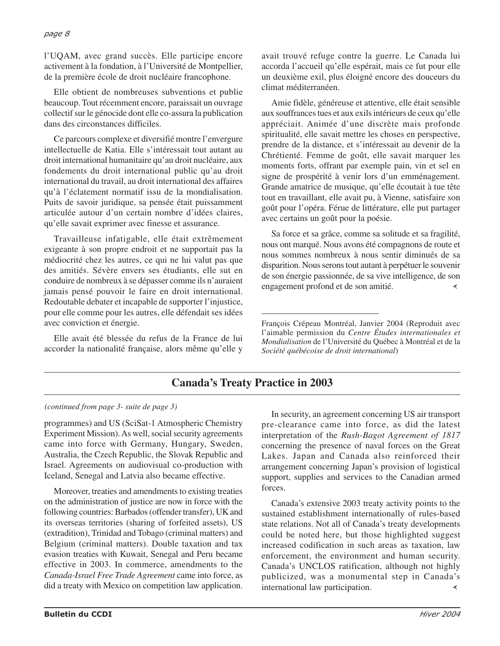#### *page 8*

l'UQAM, avec grand succès. Elle participe encore activement à la fondation, à l'Université de Montpellier, de la première école de droit nucléaire francophone.

Elle obtient de nombreuses subventions et publie beaucoup. Tout récemment encore, paraissait un ouvrage collectif sur le génocide dont elle co-assura la publication dans des circonstances difficiles.

Ce parcours complexe et diversifié montre l'envergure intellectuelle de Katia. Elle s'intéressait tout autant au droit international humanitaire qu'au droit nucléaire, aux fondements du droit international public qu'au droit international du travail, au droit international des affaires qu'à l'éclatement normatif issu de la mondialisation. Puits de savoir juridique, sa pensée était puissamment articulée autour d'un certain nombre d'idées claires, qu'elle savait exprimer avec finesse et assurance.

Travailleuse infatigable, elle était extrêmement exigeante à son propre endroit et ne supportait pas la médiocrité chez les autres, ce qui ne lui valut pas que des amitiés. Sévère envers ses étudiants, elle sut en conduire de nombreux à se dépasser comme ils n'auraient jamais pensé pouvoir le faire en droit international. Redoutable debater et incapable de supporter l'injustice, pour elle comme pour les autres, elle défendait ses idées avec conviction et énergie.

Elle avait été blessée du refus de la France de lui accorder la nationalité française, alors même qu'elle y

avait trouvé refuge contre la guerre. Le Canada lui accorda l'accueil qu'elle espérait, mais ce fut pour elle un deuxième exil, plus éloigné encore des douceurs du climat méditerranéen.

Amie fidèle, généreuse et attentive, elle était sensible aux souffrances tues et aux exils intérieurs de ceux qu'elle appréciait. Animée d'une discrète mais profonde spiritualité, elle savait mettre les choses en perspective, prendre de la distance, et s'intéressait au devenir de la Chrétienté. Femme de goût, elle savait marquer les moments forts, offrant par exemple pain, vin et sel en signe de prospérité à venir lors d'un emménagement. Grande amatrice de musique, qu'elle écoutait à tue tête tout en travaillant, elle avait pu, à Vienne, satisfaire son goût pour l'opéra. Férue de littérature, elle put partager avec certains un goût pour la poésie.

Sa force et sa grâce, comme sa solitude et sa fragilité, nous ont marqué. Nous avons été compagnons de route et nous sommes nombreux à nous sentir diminués de sa disparition. Nous serons tout autant à perpétuer le souvenir de son énergie passionnée, de sa vive intelligence, de son engagement profond et de son amitié. ∢

François Crépeau Montréal, Janvier 2004 (Reproduit avec l'aimable permission du *Centre Études internationales et Mondialisation* de l'Université du Québec à Montréal et de la *Société québécoise de droit international*)

# **Canada's Treaty Practice in 2003**

## *(continued from page 3- suite de page 3)*

programmes) and US (SciSat-1 Atmospheric Chemistry Experiment Mission). As well, social security agreements came into force with Germany, Hungary, Sweden, Australia, the Czech Republic, the Slovak Republic and Israel. Agreements on audiovisual co-production with Iceland, Senegal and Latvia also became effective.

Moreover, treaties and amendments to existing treaties on the administration of justice are now in force with the following countries: Barbados (offender transfer), UK and its overseas territories (sharing of forfeited assets), US (extradition), Trinidad and Tobago (criminal matters) and Belgium (criminal matters). Double taxation and tax evasion treaties with Kuwait, Senegal and Peru became effective in 2003. In commerce, amendments to the *Canada-Israel Free Trade Agreement* came into force, as did a treaty with Mexico on competition law application.

In security, an agreement concerning US air transport pre-clearance came into force, as did the latest interpretation of the *Rush-Bagot Agreement of 1817* concerning the presence of naval forces on the Great Lakes. Japan and Canada also reinforced their arrangement concerning Japan's provision of logistical support, supplies and services to the Canadian armed forces.

Canada's extensive 2003 treaty activity points to the sustained establishment internationally of rules-based state relations. Not all of Canada's treaty developments could be noted here, but those highlighted suggest increased codification in such areas as taxation, law enforcement, the environment and human security. Canada's UNCLOS ratification, although not highly publicized, was a monumental step in Canada's international law participation. ∢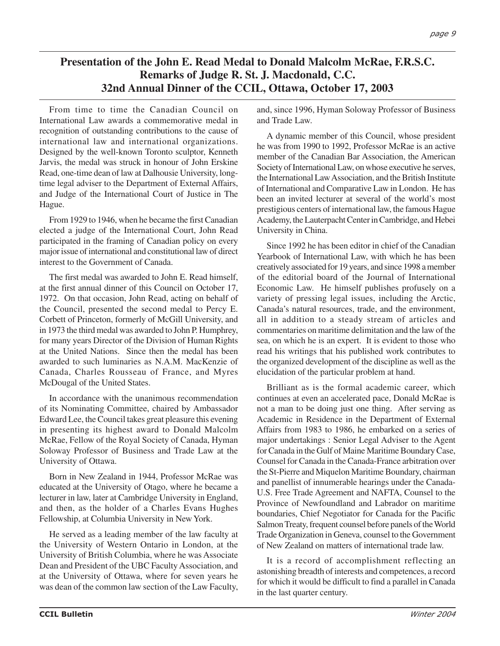# **Presentation of the John E. Read Medal to Donald Malcolm McRae, F.R.S.C. Remarks of Judge R. St. J. Macdonald, C.C. 32nd Annual Dinner of the CCIL, Ottawa, October 17, 2003**

From time to time the Canadian Council on International Law awards a commemorative medal in recognition of outstanding contributions to the cause of international law and international organizations. Designed by the well-known Toronto sculptor, Kenneth Jarvis, the medal was struck in honour of John Erskine Read, one-time dean of law at Dalhousie University, longtime legal adviser to the Department of External Affairs, and Judge of the International Court of Justice in The Hague.

From 1929 to 1946, when he became the first Canadian elected a judge of the International Court, John Read participated in the framing of Canadian policy on every major issue of international and constitutional law of direct interest to the Government of Canada.

The first medal was awarded to John E. Read himself, at the first annual dinner of this Council on October 17, 1972. On that occasion, John Read, acting on behalf of the Council, presented the second medal to Percy E. Corbett of Princeton, formerly of McGill University, and in 1973 the third medal was awarded to John P. Humphrey, for many years Director of the Division of Human Rights at the United Nations. Since then the medal has been awarded to such luminaries as N.A.M. MacKenzie of Canada, Charles Rousseau of France, and Myres McDougal of the United States.

In accordance with the unanimous recommendation of its Nominating Committee, chaired by Ambassador Edward Lee, the Council takes great pleasure this evening in presenting its highest award to Donald Malcolm McRae, Fellow of the Royal Society of Canada, Hyman Soloway Professor of Business and Trade Law at the University of Ottawa.

Born in New Zealand in 1944, Professor McRae was educated at the University of Otago, where he became a lecturer in law, later at Cambridge University in England, and then, as the holder of a Charles Evans Hughes Fellowship, at Columbia University in New York.

He served as a leading member of the law faculty at the University of Western Ontario in London, at the University of British Columbia, where he was Associate Dean and President of the UBC Faculty Association, and at the University of Ottawa, where for seven years he was dean of the common law section of the Law Faculty, and, since 1996, Hyman Soloway Professor of Business and Trade Law.

A dynamic member of this Council, whose president he was from 1990 to 1992, Professor McRae is an active member of the Canadian Bar Association, the American Society of International Law, on whose executive he serves, the International Law Association, and the British Institute of International and Comparative Law in London. He has been an invited lecturer at several of the world's most prestigious centers of international law, the famous Hague Academy, the Lauterpacht Center in Cambridge, and Hebei University in China.

Since 1992 he has been editor in chief of the Canadian Yearbook of International Law, with which he has been creatively associated for 19 years, and since 1998 a member of the editorial board of the Journal of International Economic Law. He himself publishes profusely on a variety of pressing legal issues, including the Arctic, Canada's natural resources, trade, and the environment, all in addition to a steady stream of articles and commentaries on maritime delimitation and the law of the sea, on which he is an expert. It is evident to those who read his writings that his published work contributes to the organized development of the discipline as well as the elucidation of the particular problem at hand.

Brilliant as is the formal academic career, which continues at even an accelerated pace, Donald McRae is not a man to be doing just one thing. After serving as Academic in Residence in the Department of External Affairs from 1983 to 1986, he embarked on a series of major undertakings : Senior Legal Adviser to the Agent for Canada in the Gulf of Maine Maritime Boundary Case, Counsel for Canada in the Canada-France arbitration over the St-Pierre and Miquelon Maritime Boundary, chairman and panellist of innumerable hearings under the Canada-U.S. Free Trade Agreement and NAFTA, Counsel to the Province of Newfoundland and Labrador on maritime boundaries, Chief Negotiator for Canada for the Pacific Salmon Treaty, frequent counsel before panels of the World Trade Organization in Geneva, counsel to the Government of New Zealand on matters of international trade law.

It is a record of accomplishment reflecting an astonishing breadth of interests and competences, a record for which it would be difficult to find a parallel in Canada in the last quarter century.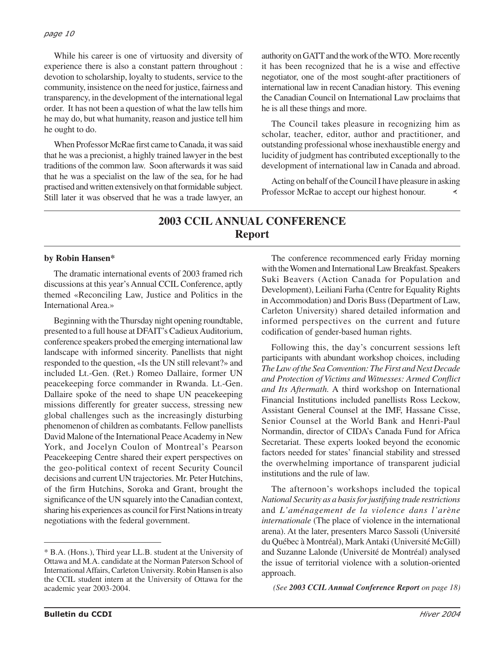While his career is one of virtuosity and diversity of experience there is also a constant pattern throughout : devotion to scholarship, loyalty to students, service to the community, insistence on the need for justice, fairness and transparency, in the development of the international legal order. It has not been a question of what the law tells him he may do, but what humanity, reason and justice tell him he ought to do.

When Professor McRae first came to Canada, it was said that he was a precionist, a highly trained lawyer in the best traditions of the common law. Soon afterwards it was said that he was a specialist on the law of the sea, for he had practised and written extensively on that formidable subject. Still later it was observed that he was a trade lawyer, an authority on GATT and the work of the WTO. More recently it has been recognized that he is a wise and effective negotiator, one of the most sought-after practitioners of international law in recent Canadian history. This evening the Canadian Council on International Law proclaims that he is all these things and more.

The Council takes pleasure in recognizing him as scholar, teacher, editor, author and practitioner, and outstanding professional whose inexhaustible energy and lucidity of judgment has contributed exceptionally to the development of international law in Canada and abroad.

Acting on behalf of the Council I have pleasure in asking Professor McRae to accept our highest honour. ∢

# **2003 CCIL ANNUAL CONFERENCE Report**

#### **by Robin Hansen\***

The dramatic international events of 2003 framed rich discussions at this year's Annual CCIL Conference, aptly themed «Reconciling Law, Justice and Politics in the International Area.»

Beginning with the Thursday night opening roundtable, presented to a full house at DFAIT's Cadieux Auditorium, conference speakers probed the emerging international law landscape with informed sincerity. Panellists that night responded to the question, «Is the UN still relevant?» and included Lt.-Gen. (Ret.) Romeo Dallaire, former UN peacekeeping force commander in Rwanda. Lt.-Gen. Dallaire spoke of the need to shape UN peacekeeping missions differently for greater success, stressing new global challenges such as the increasingly disturbing phenomenon of children as combatants. Fellow panellists David Malone of the International Peace Academy in New York, and Jocelyn Coulon of Montreal's Pearson Peacekeeping Centre shared their expert perspectives on the geo-political context of recent Security Council decisions and current UN trajectories. Mr. Peter Hutchins, of the firm Hutchins, Soroka and Grant, brought the significance of the UN squarely into the Canadian context, sharing his experiences as council for First Nations in treaty negotiations with the federal government.

The conference recommenced early Friday morning with the Women and International Law Breakfast. Speakers Suki Beavers (Action Canada for Population and Development), Leiliani Farha (Centre for Equality Rights in Accommodation) and Doris Buss (Department of Law, Carleton University) shared detailed information and informed perspectives on the current and future codification of gender-based human rights.

Following this, the day's concurrent sessions left participants with abundant workshop choices, including *The Law of the Sea Convention: The First and Next Decade and Protection of Victims and Witnesses: Armed Conflict and Its Aftermath.* A third workshop on International Financial Institutions included panellists Ross Leckow, Assistant General Counsel at the IMF, Hassane Cisse, Senior Counsel at the World Bank and Henri-Paul Normandin, director of CIDA's Canada Fund for Africa Secretariat. These experts looked beyond the economic factors needed for states' financial stability and stressed the overwhelming importance of transparent judicial institutions and the rule of law.

The afternoon's workshops included the topical *National Security as a basis for justifying trade restrictions* and *L'aménagement de la violence dans l'arène internationale* (The place of violence in the international arena). At the later, presenters Marco Sassoli (Université du Québec à Montréal), Mark Antaki (Université McGill) and Suzanne Lalonde (Université de Montréal) analysed the issue of territorial violence with a solution-oriented approach.

<sup>\*</sup> B.A. (Hons.), Third year LL.B. student at the University of Ottawa and M.A. candidate at the Norman Paterson School of International Affairs, Carleton University. Robin Hansen is also the CCIL student intern at the University of Ottawa for the academic year 2003-2004. *(See 2003 CCIL Annual Conference Report on page 18)*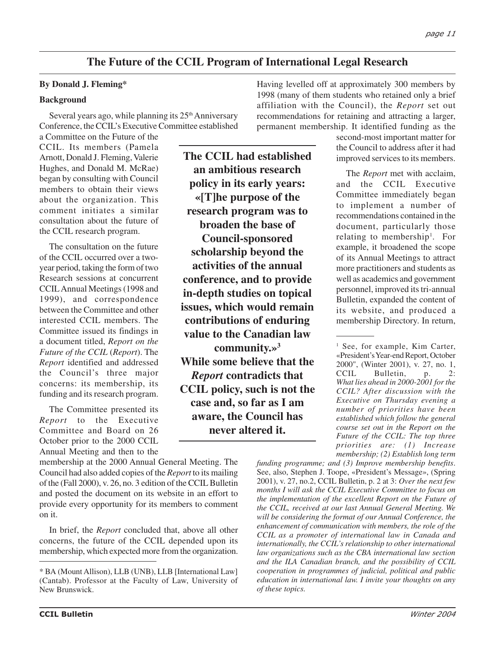# **The Future of the CCIL Program of International Legal Research**

#### **By Donald J. Fleming\***

#### **Background**

Several years ago, while planning its  $25<sup>th</sup>$  Anniversary Conference, the CCIL's Executive Committee established

a Committee on the Future of the CCIL. Its members (Pamela Arnott, Donald J. Fleming, Valerie Hughes, and Donald M. McRae) began by consulting with Council members to obtain their views about the organization. This comment initiates a similar consultation about the future of the CCIL research program.

The consultation on the future of the CCIL occurred over a twoyear period, taking the form of two Research sessions at concurrent CCIL Annual Meetings (1998 and 1999), and correspondence between the Committee and other interested CCIL members. The Committee issued its findings in a document titled, *Report on the Future of the CCIL* (*Report*). The *Report* identified and addressed the Council's three major concerns: its membership, its funding and its research program.

The Committee presented its *Report* to the Executive Committee and Board on 26 October prior to the 2000 CCIL Annual Meeting and then to the

membership at the 2000 Annual General Meeting. The Council had also added copies of the *Report* to its mailing of the (Fall 2000), v. 26, no. 3 edition of the CCIL Bulletin and posted the document on its website in an effort to provide every opportunity for its members to comment on it.

In brief, the *Report* concluded that, above all other concerns, the future of the CCIL depended upon its membership, which expected more from the organization.

**The CCIL had established an ambitious research policy in its early years: «[T]he purpose of the research program was to broaden the base of Council-sponsored scholarship beyond the activities of the annual conference, and to provide in-depth studies on topical issues, which would remain contributions of enduring value to the Canadian law community.»3 While some believe that the** *Report* **contradicts that CCIL policy, such is not the case and, so far as I am aware, the Council has never altered it.**

Having levelled off at approximately 300 members by 1998 (many of them students who retained only a brief affiliation with the Council), the *Report* set out recommendations for retaining and attracting a larger, permanent membership. It identified funding as the

> second-most important matter for the Council to address after it had improved services to its members.

The *Report* met with acclaim, and the CCIL Executive Committee immediately began to implement a number of recommendations contained in the document, particularly those relating to membership<sup>1</sup>. For example, it broadened the scope of its Annual Meetings to attract more practitioners and students as well as academics and government personnel, improved its tri-annual Bulletin, expanded the content of its website, and produced a membership Directory. In return,

<sup>1</sup> See, for example, Kim Carter, «President's Year-end Report, October 2000", (Winter 2001), v. 27, no. 1,<br>CCIL Bulletin, p. 2: Bulletin, p. 2: *What lies ahead in 2000-2001 for the CCIL? After discussion with the Executive on Thursday evening a number of priorities have been established which follow the general course set out in the Report on the Future of the CCIL: The top three priorities are: (1) Increase membership; (2) Establish long term*

*funding programme; and (3) Improve membership benefits*. See, also, Stephen J. Toope, «President's Message», (Spring 2001), v. 27, no.2, CCIL Bulletin, p. 2 at 3: *Over the next few months I will ask the CCIL Executive Committee to focus on the implementation of the excellent Report on the Future of the CCIL, received at our last Annual General Meeting. We will be considering the format of our Annual Conference, the enhancement of communication with members, the role of the CCIL as a promoter of international law in Canada and internationally, the CCIL's relationship to other international law organizations such as the CBA international law section and the ILA Canadian branch, and the possibility of CCIL cooperation in programmes of judicial, political and public education in international law. I invite your thoughts on any of these topics.*

<sup>\*</sup> BA (Mount Allison), LLB (UNB), LLB [International Law] (Cantab). Professor at the Faculty of Law, University of New Brunswick.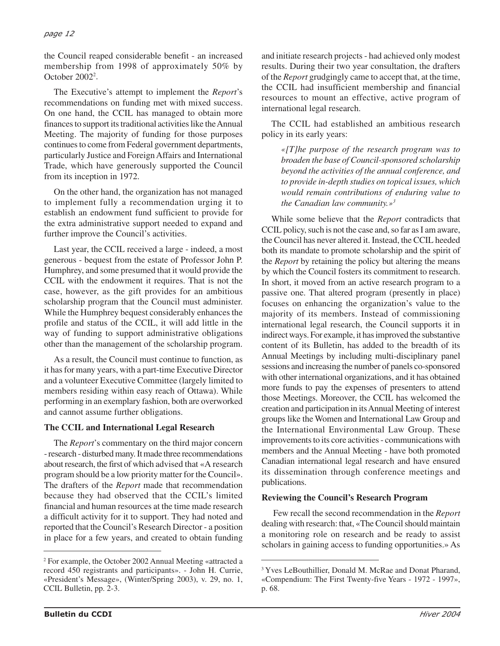#### *page 12*

the Council reaped considerable benefit - an increased membership from 1998 of approximately 50% by October 20022 .

The Executive's attempt to implement the *Report*'s recommendations on funding met with mixed success. On one hand, the CCIL has managed to obtain more finances to support its traditional activities like the Annual Meeting. The majority of funding for those purposes continues to come from Federal government departments, particularly Justice and Foreign Affairs and International Trade, which have generously supported the Council from its inception in 1972.

On the other hand, the organization has not managed to implement fully a recommendation urging it to establish an endowment fund sufficient to provide for the extra administrative support needed to expand and further improve the Council's activities.

Last year, the CCIL received a large - indeed, a most generous - bequest from the estate of Professor John P. Humphrey, and some presumed that it would provide the CCIL with the endowment it requires. That is not the case, however, as the gift provides for an ambitious scholarship program that the Council must administer. While the Humphrey bequest considerably enhances the profile and status of the CCIL, it will add little in the way of funding to support administrative obligations other than the management of the scholarship program.

As a result, the Council must continue to function, as it has for many years, with a part-time Executive Director and a volunteer Executive Committee (largely limited to members residing within easy reach of Ottawa). While performing in an exemplary fashion, both are overworked and cannot assume further obligations.

#### **The CCIL and International Legal Research**

The *Report*'s commentary on the third major concern - research - disturbed many. It made three recommendations about research, the first of which advised that «A research program should be a low priority matter for the Council». The drafters of the *Report* made that recommendation because they had observed that the CCIL's limited financial and human resources at the time made research a difficult activity for it to support. They had noted and reported that the Council's Research Director - a position in place for a few years, and created to obtain funding and initiate research projects - had achieved only modest results. During their two year consultation, the drafters of the *Report* grudgingly came to accept that, at the time, the CCIL had insufficient membership and financial resources to mount an effective, active program of international legal research.

The CCIL had established an ambitious research policy in its early years:

*«[T]he purpose of the research program was to broaden the base of Council-sponsored scholarship beyond the activities of the annual conference, and to provide in-depth studies on topical issues, which would remain contributions of enduring value to the Canadian law community.»3*

While some believe that the *Report* contradicts that CCIL policy, such is not the case and, so far as I am aware, the Council has never altered it. Instead, the CCIL heeded both its mandate to promote scholarship and the spirit of the *Report* by retaining the policy but altering the means by which the Council fosters its commitment to research. In short, it moved from an active research program to a passive one. That altered program (presently in place) focuses on enhancing the organization's value to the majority of its members. Instead of commissioning international legal research, the Council supports it in indirect ways. For example, it has improved the substantive content of its Bulletin, has added to the breadth of its Annual Meetings by including multi-disciplinary panel sessions and increasing the number of panels co-sponsored with other international organizations, and it has obtained more funds to pay the expenses of presenters to attend those Meetings. Moreover, the CCIL has welcomed the creation and participation in its Annual Meeting of interest groups like the Women and International Law Group and the International Environmental Law Group. These improvements to its core activities - communications with members and the Annual Meeting - have both promoted Canadian international legal research and have ensured its dissemination through conference meetings and publications.

#### **Reviewing the Council's Research Program**

Few recall the second recommendation in the *Report* dealing with research: that, «The Council should maintain a monitoring role on research and be ready to assist scholars in gaining access to funding opportunities.» As

<sup>2</sup> For example, the October 2002 Annual Meeting «attracted a record 450 registrants and participants». - John H. Currie, «President's Message», (Winter/Spring 2003), v. 29, no. 1, CCIL Bulletin, pp. 2-3.

<sup>&</sup>lt;sup>3</sup> Yves LeBouthillier, Donald M. McRae and Donat Pharand, «Compendium: The First Twenty-five Years - 1972 - 1997», p. 68.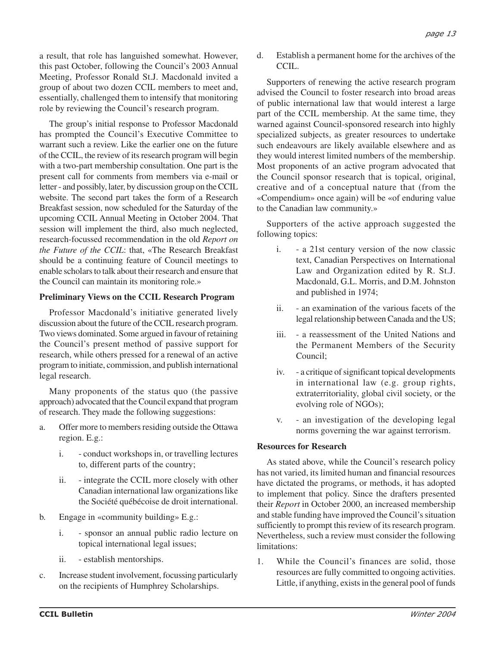a result, that role has languished somewhat. However, this past October, following the Council's 2003 Annual Meeting, Professor Ronald St.J. Macdonald invited a group of about two dozen CCIL members to meet and, essentially, challenged them to intensify that monitoring role by reviewing the Council's research program.

The group's initial response to Professor Macdonald has prompted the Council's Executive Committee to warrant such a review. Like the earlier one on the future of the CCIL, the review of its research program will begin with a two-part membership consultation. One part is the present call for comments from members via e-mail or letter - and possibly, later, by discussion group on the CCIL website. The second part takes the form of a Research Breakfast session, now scheduled for the Saturday of the upcoming CCIL Annual Meeting in October 2004. That session will implement the third, also much neglected, research-focussed recommendation in the old *Report on the Future of the CCIL*: that, «The Research Breakfast should be a continuing feature of Council meetings to enable scholars to talk about their research and ensure that the Council can maintain its monitoring role.»

#### **Preliminary Views on the CCIL Research Program**

Professor Macdonald's initiative generated lively discussion about the future of the CCIL research program. Two views dominated. Some argued in favour of retaining the Council's present method of passive support for research, while others pressed for a renewal of an active program to initiate, commission, and publish international legal research.

Many proponents of the status quo (the passive approach) advocated that the Council expand that program of research. They made the following suggestions:

- a. Offer more to members residing outside the Ottawa region. E.g.:
	- i. conduct workshops in, or travelling lectures to, different parts of the country;
	- ii. integrate the CCIL more closely with other Canadian international law organizations like the Société québécoise de droit international.
- b. Engage in «community building» E.g.:
	- i. sponsor an annual public radio lecture on topical international legal issues;
	- ii. establish mentorships.
- c. Increase student involvement, focussing particularly on the recipients of Humphrey Scholarships.

d. Establish a permanent home for the archives of the CCIL.

Supporters of renewing the active research program advised the Council to foster research into broad areas of public international law that would interest a large part of the CCIL membership. At the same time, they warned against Council-sponsored research into highly specialized subjects, as greater resources to undertake such endeavours are likely available elsewhere and as they would interest limited numbers of the membership. Most proponents of an active program advocated that the Council sponsor research that is topical, original, creative and of a conceptual nature that (from the «Compendium» once again) will be «of enduring value to the Canadian law community.»

Supporters of the active approach suggested the following topics:

- i. a 21st century version of the now classic text, Canadian Perspectives on International Law and Organization edited by R. St.J. Macdonald, G.L. Morris, and D.M. Johnston and published in 1974;
- ii. an examination of the various facets of the legal relationship between Canada and the US;
- iii. a reassessment of the United Nations and the Permanent Members of the Security Council;
- iv. a critique of significant topical developments in international law (e.g. group rights, extraterritoriality, global civil society, or the evolving role of NGOs);
- v. an investigation of the developing legal norms governing the war against terrorism.

## **Resources for Research**

As stated above, while the Council's research policy has not varied, its limited human and financial resources have dictated the programs, or methods, it has adopted to implement that policy. Since the drafters presented their *Report* in October 2000, an increased membership and stable funding have improved the Council's situation sufficiently to prompt this review of its research program. Nevertheless, such a review must consider the following limitations:

1. While the Council's finances are solid, those resources are fully committed to ongoing activities. Little, if anything, exists in the general pool of funds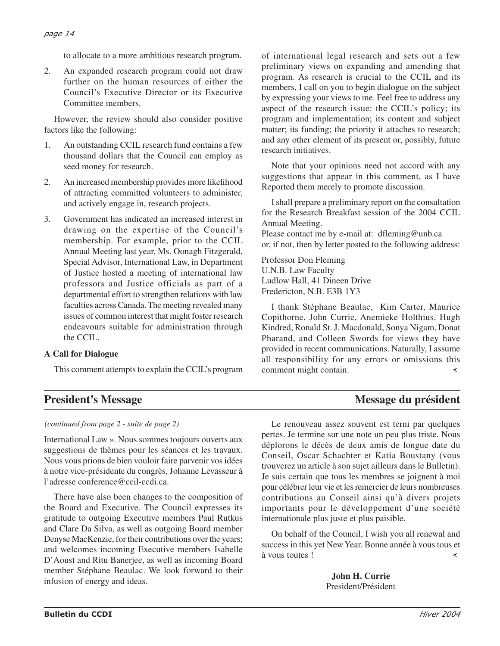to allocate to a more ambitious research program.

2. An expanded research program could not draw further on the human resources of either the Council's Executive Director or its Executive Committee members.

However, the review should also consider positive factors like the following:

- 1. An outstanding CCIL research fund contains a few thousand dollars that the Council can employ as seed money for research.
- 2. An increased membership provides more likelihood of attracting committed volunteers to administer, and actively engage in, research projects.
- 3. Government has indicated an increased interest in drawing on the expertise of the Council's membership. For example, prior to the CCIL Annual Meeting last year, Ms. Oonagh Fitzgerald, Special Advisor, International Law, in Department of Justice hosted a meeting of international law professors and Justice officials as part of a departmental effort to strengthen relations with law faculties across Canada. The meeting revealed many issues of common interest that might foster research endeavours suitable for administration through the CCIL.

#### **A Call for Dialogue**

This comment attempts to explain the CCIL's program

of international legal research and sets out a few preliminary views on expanding and amending that program. As research is crucial to the CCIL and its members, I call on you to begin dialogue on the subject by expressing your views to me. Feel free to address any aspect of the research issue: the CCIL's policy; its program and implementation; its content and subject matter; its funding; the priority it attaches to research; and any other element of its present or, possibly, future research initiatives.

Note that your opinions need not accord with any suggestions that appear in this comment, as I have Reported them merely to promote discussion.

I shall prepare a preliminary report on the consultation for the Research Breakfast session of the 2004 CCIL Annual Meeting.

Please contact me by e-mail at: dfleming@unb.ca or, if not, then by letter posted to the following address:

Professor Don Fleming U.N.B. Law Faculty Ludlow Hall, 41 Dineen Drive Fredericton, N.B. E3B 1Y3

I thank Stéphane Beaulac, Kim Carter, Maurice Copithorne, John Currie, Anemieke Holthius, Hugh Kindred, Ronald St. J. Macdonald, Sonya Nigam, Donat Pharand, and Colleen Swords for views they have provided in recent communications. Naturally, I assume all responsibility for any errors or omissions this comment might contain.

# **President's Message du président du président du président du président du président du président du président**

*(continued from page 2 - suite de page 2)*

International Law ». Nous sommes toujours ouverts aux suggestions de thèmes pour les séances et les travaux. Nous vous prions de bien vouloir faire parvenir vos idées à notre vice-présidente du congrès, Johanne Levasseur à l'adresse conference@ccil-ccdi.ca.

There have also been changes to the composition of the Board and Executive. The Council expresses its gratitude to outgoing Executive members Paul Rutkus and Clare Da Silva, as well as outgoing Board member Denyse MacKenzie, for their contributions over the years; and welcomes incoming Executive members Isabelle D'Aoust and Ritu Banerjee, as well as incoming Board member Stéphane Beaulac. We look forward to their infusion of energy and ideas.

Le renouveau assez souvent est terni par quelques pertes. Je termine sur une note un peu plus triste. Nous déplorons le décès de deux amis de longue date du Conseil, Oscar Schachter et Katia Boustany (vous trouverez un article à son sujet ailleurs dans le Bulletin). Je suis certain que tous les membres se joignent à moi pour célébrer leur vie et les remercier de leurs nombreuses contributions au Conseil ainsi qu'à divers projets importants pour le développement d'une société internationale plus juste et plus paisible.

On behalf of the Council, I wish you all renewal and success in this yet New Year. Bonne année à vous tous et à vous toutes ! ∢

> **John H. Currie** President/Président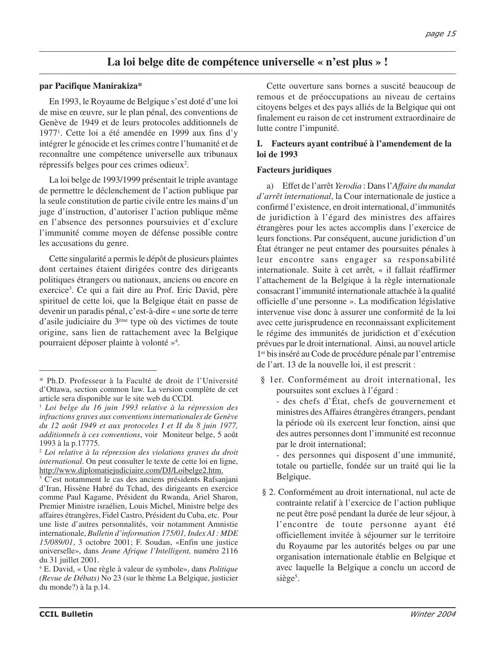# **La loi belge dite de compétence universelle « n'est plus » !**

#### **par Pacifique Manirakiza\***

En 1993, le Royaume de Belgique s'est doté d'une loi de mise en œuvre, sur le plan pénal, des conventions de Genève de 1949 et de leurs protocoles additionnels de 19771 . Cette loi a été amendée en 1999 aux fins d'y intégrer le génocide et les crimes contre l'humanité et de reconnaître une compétence universelle aux tribunaux répressifs belges pour ces crimes odieux<sup>2</sup>.

La loi belge de 1993/1999 présentait le triple avantage de permettre le déclenchement de l'action publique par la seule constitution de partie civile entre les mains d'un juge d'instruction, d'autoriser l'action publique même en l'absence des personnes poursuivies et d'exclure l'immunité comme moyen de défense possible contre les accusations du genre.

Cette singularité a permis le dépôt de plusieurs plaintes dont certaines étaient dirigées contre des dirigeants politiques étrangers ou nationaux, anciens ou encore en exercice<sup>3</sup>. Ce qui a fait dire au Prof. Eric David, père spirituel de cette loi, que la Belgique était en passe de devenir un paradis pénal, c'est-à-dire « une sorte de terre d'asile judiciaire du 3ème type où des victimes de toute origine, sans lien de rattachement avec la Belgique pourraient déposer plainte à volonté »4 .

Cette ouverture sans bornes a suscité beaucoup de remous et de préoccupations au niveau de certains citoyens belges et des pays alliés de la Belgique qui ont finalement eu raison de cet instrument extraordinaire de lutte contre l'impunité.

#### **I. Facteurs ayant contribué à l'amendement de la loi de 1993**

#### **Facteurs juridiques**

a) Effet de l'arrêt *Yerodia* : Dans l'*Affaire du mandat d'arrêt international*, la Cour internationale de justice a confirmé l'existence, en droit international, d'immunités de juridiction à l'égard des ministres des affaires étrangères pour les actes accomplis dans l'exercice de leurs fonctions. Par conséquent, aucune juridiction d'un État étranger ne peut entamer des poursuites pénales à leur encontre sans engager sa responsabilité internationale. Suite à cet arrêt, « il fallait réaffirmer l'attachement de la Belgique à la règle internationale consacrant l'immunité internationale attachée à la qualité officielle d'une personne ». La modification législative intervenue vise donc à assurer une conformité de la loi avec cette jurisprudence en reconnaissant explicitement le régime des immunités de juridiction et d'exécution prévues par le droit international. Ainsi, au nouvel article 1er bis inséré au Code de procédure pénale par l'entremise de l'art. 13 de la nouvelle loi, il est prescrit :

§ 1er. Conformément au droit international, les poursuites sont exclues à l'égard :

- des chefs d'État, chefs de gouvernement et ministres des Affaires étrangères étrangers, pendant la période où ils exercent leur fonction, ainsi que des autres personnes dont l'immunité est reconnue par le droit international;

- des personnes qui disposent d'une immunité, totale ou partielle, fondée sur un traité qui lie la Belgique.

§ 2. Conformément au droit international, nul acte de contrainte relatif à l'exercice de l'action publique ne peut être posé pendant la durée de leur séjour, à l'encontre de toute personne ayant été officiellement invitée à séjourner sur le territoire du Royaume par les autorités belges ou par une organisation internationale établie en Belgique et avec laquelle la Belgique a conclu un accord de siège<sup>5</sup>.

<sup>\*</sup> Ph.D. Professeur à la Faculté de droit de l'Université d'Ottawa, section common law. La version complète de cet article sera disponible sur le site web du CCDI.

<sup>1</sup> *Loi belge du 16 juin 1993 relative à la répression des infractions graves aux conventions internationales de Genève du 12 août 1949 et aux protocoles I et II du 8 juin 1977, additionnels à ces conventions*, voir Moniteur belge, 5 août 1993 à la p.17775.

<sup>2</sup> *Loi relative à la répression des violations graves du droit international*. On peut consulter le texte de cette loi en ligne, http://www.diplomatiejudiciaire.com/DJ/Loibelge2.htm.

<sup>&</sup>lt;sup>3</sup> C'est notamment le cas des anciens présidents Rafsanjani d'Iran, Hissène Habré du Tchad, des dirigeants en exercice comme Paul Kagame, Président du Rwanda, Ariel Sharon, Premier Ministre israélien, Louis Michel, Ministre belge des affaires étrangères, Fidel Castro, Président du Cuba, etc. Pour une liste d'autres personnalités, voir notamment Amnistie internationale, *Bulletin d'information 175/01, Index AI : MDE 15/089/01*, 3 octobre 2001; F. Soudan, «Enfin une justice universelle», dans *Jeune Afrique l'Intelligent,* numéro 2116 du 31 juillet 2001.

<sup>4</sup> E. David, « Une règle à valeur de symbole», dans *Politique (Revue de Débats)* No 23 (sur le thème La Belgique, justicier du monde?) à la p.14.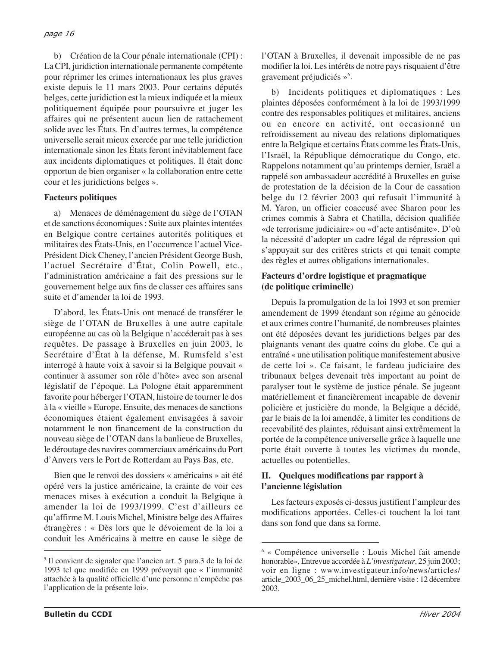b) Création de la Cour pénale internationale (CPI) : La CPI, juridiction internationale permanente compétente pour réprimer les crimes internationaux les plus graves existe depuis le 11 mars 2003. Pour certains députés belges, cette juridiction est la mieux indiquée et la mieux politiquement équipée pour poursuivre et juger les affaires qui ne présentent aucun lien de rattachement solide avec les États. En d'autres termes, la compétence universelle serait mieux exercée par une telle juridiction internationale sinon les États feront inévitablement face aux incidents diplomatiques et politiques. Il était donc opportun de bien organiser « la collaboration entre cette cour et les juridictions belges ».

#### **Facteurs politiques**

a) Menaces de déménagement du siège de l'OTAN et de sanctions économiques : Suite aux plaintes intentées en Belgique contre certaines autorités politiques et militaires des États-Unis, en l'occurrence l'actuel Vice-Président Dick Cheney, l'ancien Président George Bush, l'actuel Secrétaire d'État, Colin Powell, etc., l'administration américaine a fait des pressions sur le gouvernement belge aux fins de classer ces affaires sans suite et d'amender la loi de 1993.

D'abord, les États-Unis ont menacé de transférer le siège de l'OTAN de Bruxelles à une autre capitale européenne au cas où la Belgique n'accéderait pas à ses requêtes. De passage à Bruxelles en juin 2003, le Secrétaire d'État à la défense, M. Rumsfeld s'est interrogé à haute voix à savoir si la Belgique pouvait « continuer à assumer son rôle d'hôte» avec son arsenal législatif de l'époque. La Pologne était apparemment favorite pour héberger l'OTAN, histoire de tourner le dos à la « vieille » Europe. Ensuite, des menaces de sanctions économiques étaient également envisagées à savoir notamment le non financement de la construction du nouveau siège de l'OTAN dans la banlieue de Bruxelles, le déroutage des navires commerciaux américains du Port d'Anvers vers le Port de Rotterdam au Pays Bas, etc.

Bien que le renvoi des dossiers « américains » ait été opéré vers la justice américaine, la crainte de voir ces menaces mises à exécution a conduit la Belgique à amender la loi de 1993/1999. C'est d'ailleurs ce qu'affirme M. Louis Michel, Ministre belge des Affaires étrangères : « Dès lors que le dévoiement de la loi a conduit les Américains à mettre en cause le siège de

l'OTAN à Bruxelles, il devenait impossible de ne pas modifier la loi. Les intérêts de notre pays risquaient d'être gravement préjudiciés »6 .

b) Incidents politiques et diplomatiques : Les plaintes déposées conformément à la loi de 1993/1999 contre des responsables politiques et militaires, anciens ou en encore en activité, ont occasionné un refroidissement au niveau des relations diplomatiques entre la Belgique et certains États comme les États-Unis, l'Israël, la République démocratique du Congo, etc. Rappelons notamment qu'au printemps dernier, Israël a rappelé son ambassadeur accrédité à Bruxelles en guise de protestation de la décision de la Cour de cassation belge du 12 février 2003 qui refusait l'immunité à M. Yaron, un officier coaccusé avec Sharon pour les crimes commis à Sabra et Chatilla, décision qualifiée «de terrorisme judiciaire» ou «d'acte antisémite». D'où la nécessité d'adopter un cadre légal de répression qui s'appuyait sur des critères stricts et qui tenait compte des règles et autres obligations internationales.

#### **Facteurs d'ordre logistique et pragmatique (de politique criminelle)**

Depuis la promulgation de la loi 1993 et son premier amendement de 1999 étendant son régime au génocide et aux crimes contre l'humanité, de nombreuses plaintes ont été déposées devant les juridictions belges par des plaignants venant des quatre coins du globe. Ce qui a entraîné « une utilisation politique manifestement abusive de cette loi ». Ce faisant, le fardeau judiciaire des tribunaux belges devenait très important au point de paralyser tout le système de justice pénale. Se jugeant matériellement et financièrement incapable de devenir policière et justicière du monde, la Belgique a décidé, par le biais de la loi amendée, à limiter les conditions de recevabilité des plaintes, réduisant ainsi extrêmement la portée de la compétence universelle grâce à laquelle une porte était ouverte à toutes les victimes du monde, actuelles ou potentielles.

## **II. Quelques modifications par rapport à l'ancienne législation**

Les facteurs exposés ci-dessus justifient l'ampleur des modifications apportées. Celles-ci touchent la loi tant dans son fond que dans sa forme.

<sup>5</sup> Il convient de signaler que l'ancien art. 5 para.3 de la loi de 1993 tel que modifiée en 1999 prévoyait que « l'immunité attachée à la qualité officielle d'une personne n'empêche pas l'application de la présente loi».

<sup>6</sup> « Compétence universelle : Louis Michel fait amende honorable», Entrevue accordée à *L'investigateur*, 25 juin 2003; voir en ligne : www.investigateur.info/news/articles/ article\_2003\_06\_25\_michel.html, dernière visite : 12 décembre 2003.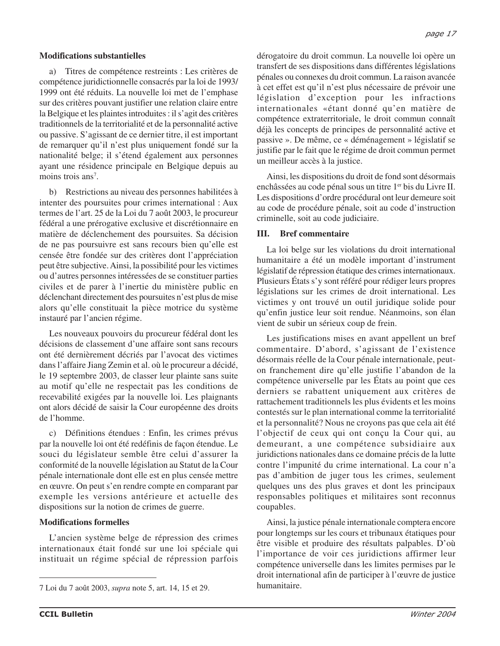#### **Modifications substantielles**

a) Titres de compétence restreints : Les critères de compétence juridictionnelle consacrés par la loi de 1993/ 1999 ont été réduits. La nouvelle loi met de l'emphase sur des critères pouvant justifier une relation claire entre la Belgique et les plaintes introduites : il s'agit des critères traditionnels de la territorialité et de la personnalité active ou passive. S'agissant de ce dernier titre, il est important de remarquer qu'il n'est plus uniquement fondé sur la nationalité belge; il s'étend également aux personnes ayant une résidence principale en Belgique depuis au moins trois ans<sup>7</sup>.

b) Restrictions au niveau des personnes habilitées à intenter des poursuites pour crimes international : Aux termes de l'art. 25 de la Loi du 7 août 2003, le procureur fédéral a une prérogative exclusive et discrétionnaire en matière de déclenchement des poursuites. Sa décision de ne pas poursuivre est sans recours bien qu'elle est censée être fondée sur des critères dont l'appréciation peut être subjective. Ainsi, la possibilité pour les victimes ou d'autres personnes intéressées de se constituer parties civiles et de parer à l'inertie du ministère public en déclenchant directement des poursuites n'est plus de mise alors qu'elle constituait la pièce motrice du système instauré par l'ancien régime.

Les nouveaux pouvoirs du procureur fédéral dont les décisions de classement d'une affaire sont sans recours ont été dernièrement décriés par l'avocat des victimes dans l'affaire Jiang Zemin et al. où le procureur a décidé, le 19 septembre 2003, de classer leur plainte sans suite au motif qu'elle ne respectait pas les conditions de recevabilité exigées par la nouvelle loi. Les plaignants ont alors décidé de saisir la Cour européenne des droits de l'homme.

c) Définitions étendues : Enfin, les crimes prévus par la nouvelle loi ont été redéfinis de façon étendue. Le souci du législateur semble être celui d'assurer la conformité de la nouvelle législation au Statut de la Cour pénale internationale dont elle est en plus censée mettre en œuvre. On peut s'en rendre compte en comparant par exemple les versions antérieure et actuelle des dispositions sur la notion de crimes de guerre.

#### **Modifications formelles**

L'ancien système belge de répression des crimes internationaux était fondé sur une loi spéciale qui instituait un régime spécial de répression parfois dérogatoire du droit commun. La nouvelle loi opère un transfert de ses dispositions dans différentes législations pénales ou connexes du droit commun. La raison avancée à cet effet est qu'il n'est plus nécessaire de prévoir une législation d'exception pour les infractions internationales «étant donné qu'en matière de compétence extraterritoriale, le droit commun connaît déjà les concepts de principes de personnalité active et passive ». De même, ce « déménagement » législatif se justifie par le fait que le régime de droit commun permet un meilleur accès à la justice.

Ainsi, les dispositions du droit de fond sont désormais enchâssées au code pénal sous un titre 1<sup>er</sup> bis du Livre II. Les dispositions d'ordre procédural ont leur demeure soit au code de procédure pénale, soit au code d'instruction criminelle, soit au code judiciaire.

#### **III. Bref commentaire**

La loi belge sur les violations du droit international humanitaire a été un modèle important d'instrument législatif de répression étatique des crimes internationaux. Plusieurs États s'y sont référé pour rédiger leurs propres législations sur les crimes de droit international. Les victimes y ont trouvé un outil juridique solide pour qu'enfin justice leur soit rendue. Néanmoins, son élan vient de subir un sérieux coup de frein.

Les justifications mises en avant appellent un bref commentaire. D'abord, s'agissant de l'existence désormais réelle de la Cour pénale internationale, peuton franchement dire qu'elle justifie l'abandon de la compétence universelle par les États au point que ces derniers se rabattent uniquement aux critères de rattachement traditionnels les plus évidents et les moins contestés sur le plan international comme la territorialité et la personnalité? Nous ne croyons pas que cela ait été l'objectif de ceux qui ont conçu la Cour qui, au demeurant, a une compétence subsidiaire aux juridictions nationales dans ce domaine précis de la lutte contre l'impunité du crime international. La cour n'a pas d'ambition de juger tous les crimes, seulement quelques uns des plus graves et dont les principaux responsables politiques et militaires sont reconnus coupables.

Ainsi, la justice pénale internationale comptera encore pour longtemps sur les cours et tribunaux étatiques pour être visible et produire des résultats palpables. D'où l'importance de voir ces juridictions affirmer leur compétence universelle dans les limites permises par le droit international afin de participer à l'œuvre de justice

humanitaire. 7 Loi du 7 août 2003, *supra* note 5, art. 14, 15 et 29.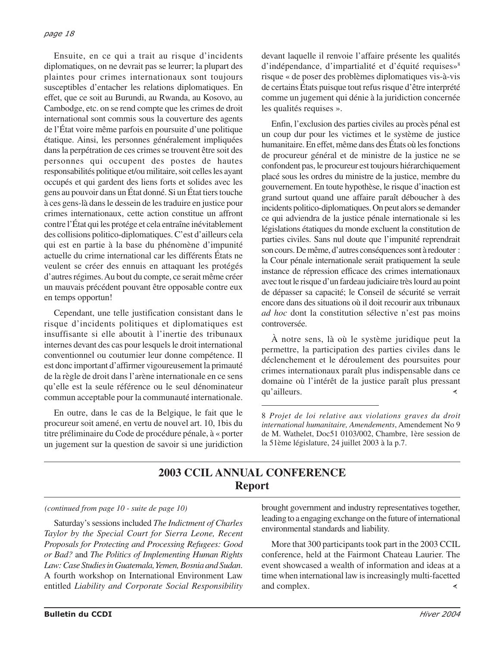Ensuite, en ce qui a trait au risque d'incidents diplomatiques, on ne devrait pas se leurrer; la plupart des plaintes pour crimes internationaux sont toujours susceptibles d'entacher les relations diplomatiques. En effet, que ce soit au Burundi, au Rwanda, au Kosovo, au Cambodge, etc. on se rend compte que les crimes de droit international sont commis sous la couverture des agents de l'État voire même parfois en poursuite d'une politique étatique. Ainsi, les personnes généralement impliquées dans la perpétration de ces crimes se trouvent être soit des personnes qui occupent des postes de hautes responsabilités politique et/ou militaire, soit celles les ayant occupés et qui gardent des liens forts et solides avec les gens au pouvoir dans un État donné. Si un État tiers touche à ces gens-là dans le dessein de les traduire en justice pour crimes internationaux, cette action constitue un affront contre l'État qui les protége et cela entraîne inévitablement des collisions politico-diplomatiques. C'est d'ailleurs cela qui est en partie à la base du phénomène d'impunité actuelle du crime international car les différents États ne veulent se créer des ennuis en attaquant les protégés d'autres régimes. Au bout du compte, ce serait même créer un mauvais précédent pouvant être opposable contre eux en temps opportun!

Cependant, une telle justification consistant dans le risque d'incidents politiques et diplomatiques est insuffisante si elle aboutit à l'inertie des tribunaux internes devant des cas pour lesquels le droit international conventionnel ou coutumier leur donne compétence. Il est donc important d'affirmer vigoureusement la primauté de la règle de droit dans l'arène internationale en ce sens qu'elle est la seule référence ou le seul dénominateur commun acceptable pour la communauté internationale.

En outre, dans le cas de la Belgique, le fait que le procureur soit amené, en vertu de nouvel art. 10, 1bis du titre préliminaire du Code de procédure pénale, à « porter un jugement sur la question de savoir si une juridiction devant laquelle il renvoie l'affaire présente les qualités d'indépendance, d'impartialité et d'équité requises»<sup>8</sup> risque « de poser des problèmes diplomatiques vis-à-vis de certains États puisque tout refus risque d'être interprété comme un jugement qui dénie à la juridiction concernée les qualités requises ».

Enfin, l'exclusion des parties civiles au procès pénal est un coup dur pour les victimes et le système de justice humanitaire. En effet, même dans des États où les fonctions de procureur général et de ministre de la justice ne se confondent pas, le procureur est toujours hiérarchiquement placé sous les ordres du ministre de la justice, membre du gouvernement. En toute hypothèse, le risque d'inaction est grand surtout quand une affaire paraît déboucher à des incidents politico-diplomatiques. On peut alors se demander ce qui adviendra de la justice pénale internationale si les législations étatiques du monde excluent la constitution de parties civiles. Sans nul doute que l'impunité reprendrait son cours. De même, d'autres conséquences sont à redouter : la Cour pénale internationale serait pratiquement la seule instance de répression efficace des crimes internationaux avec tout le risque d'un fardeau judiciaire très lourd au point de dépasser sa capacité; le Conseil de sécurité se verrait encore dans des situations où il doit recourir aux tribunaux *ad hoc* dont la constitution sélective n'est pas moins controversée.

À notre sens, là où le système juridique peut la permettre, la participation des parties civiles dans le déclenchement et le déroulement des poursuites pour crimes internationaux paraît plus indispensable dans ce domaine où l'intérêt de la justice paraît plus pressant qu'ailleurs. ≺

8 *Projet de loi relative aux violations graves du droit international humanitaire, Amendements*, Amendement No 9 de M. Wathelet, Doc51 0103/002, Chambre, 1ère session de la 51ème législature, 24 juillet 2003 à la p.7.

# **2003 CCIL ANNUAL CONFERENCE Report**

Saturday's sessions included *The Indictment of Charles Taylor by the Special Court for Sierra Leone, Recent Proposals for Protecting and Processing Refugees: Good or Bad?* and *The Politics of Implementing Human Rights Law: Case Studies in Guatemala, Yemen, Bosnia and Sudan*. A fourth workshop on International Environment Law entitled *Liability and Corporate Social Responsibility*

*(continued from page 10 - suite de page 10)* brought government and industry representatives together, leading to a engaging exchange on the future of international environmental standards and liability.

> More that 300 participants took part in the 2003 CCIL conference, held at the Fairmont Chateau Laurier. The event showcased a wealth of information and ideas at a time when international law is increasingly multi-facetted and complex. ∢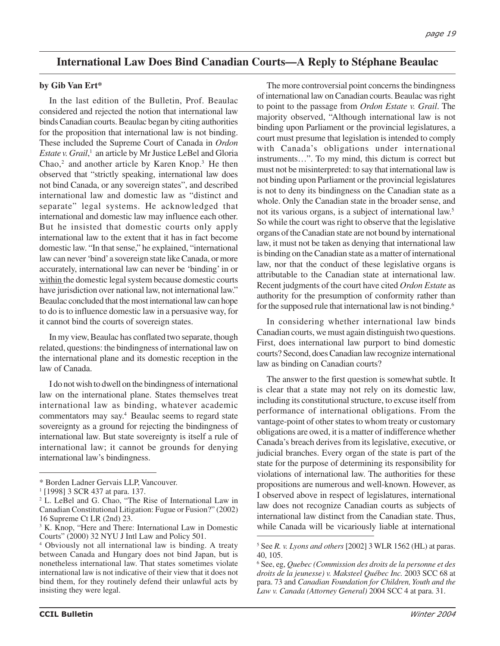# **International Law Does Bind Canadian Courts—A Reply to Stéphane Beaulac**

#### **by Gib Van Ert\***

In the last edition of the Bulletin, Prof. Beaulac considered and rejected the notion that international law binds Canadian courts. Beaulac began by citing authorities for the proposition that international law is not binding. These included the Supreme Court of Canada in *Ordon Estate v. Grail*, <sup>1</sup> an article by Mr Justice LeBel and Gloria Chao,<sup>2</sup> and another article by Karen Knop.<sup>3</sup> He then observed that "strictly speaking, international law does not bind Canada, or any sovereign states", and described international law and domestic law as "distinct and separate" legal systems. He acknowledged that international and domestic law may influence each other. But he insisted that domestic courts only apply international law to the extent that it has in fact become domestic law. "In that sense," he explained, "international law can never 'bind' a sovereign state like Canada, or more accurately, international law can never be 'binding' in or within the domestic legal system because domestic courts have jurisdiction over national law, not international law." Beaulac concluded that the most international law can hope to do is to influence domestic law in a persuasive way, for it cannot bind the courts of sovereign states.

In my view, Beaulac has conflated two separate, though related, questions: the bindingness of international law on the international plane and its domestic reception in the law of Canada.

I do not wish to dwell on the bindingness of international law on the international plane. States themselves treat international law as binding, whatever academic commentators may say.4 Beaulac seems to regard state sovereignty as a ground for rejecting the bindingness of international law. But state sovereignty is itself a rule of international law; it cannot be grounds for denying international law's bindingness.

The more controversial point concerns the bindingness of international law on Canadian courts. Beaulac was right to point to the passage from *Ordon Estate v. Grail*. The majority observed, "Although international law is not binding upon Parliament or the provincial legislatures, a court must presume that legislation is intended to comply with Canada's obligations under international instruments…". To my mind, this dictum is correct but must not be misinterpreted: to say that international law is not binding upon Parliament or the provincial legislatures is not to deny its bindingness on the Canadian state as a whole. Only the Canadian state in the broader sense, and not its various organs, is a subject of international law.<sup>5</sup> So while the court was right to observe that the legislative organs of the Canadian state are not bound by international law, it must not be taken as denying that international law is binding on the Canadian state as a matter of international law, nor that the conduct of these legislative organs is attributable to the Canadian state at international law. Recent judgments of the court have cited *Ordon Estate* as authority for the presumption of conformity rather than for the supposed rule that international law is not binding.<sup>6</sup>

In considering whether international law binds Canadian courts, we must again distinguish two questions. First, does international law purport to bind domestic courts? Second, does Canadian law recognize international law as binding on Canadian courts?

The answer to the first question is somewhat subtle. It is clear that a state may not rely on its domestic law, including its constitutional structure, to excuse itself from performance of international obligations. From the vantage-point of other states to whom treaty or customary obligations are owed, it is a matter of indifference whether Canada's breach derives from its legislative, executive, or judicial branches. Every organ of the state is part of the state for the purpose of determining its responsibility for violations of international law. The authorities for these propositions are numerous and well-known. However, as I observed above in respect of legislatures, international law does not recognize Canadian courts as subjects of international law distinct from the Canadian state. Thus, while Canada will be vicariously liable at international

<sup>\*</sup> Borden Ladner Gervais LLP, Vancouver.

<sup>1</sup> [1998] 3 SCR 437 at para. 137.

<sup>2</sup> L. LeBel and G. Chao, "The Rise of International Law in Canadian Constitutional Litigation: Fugue or Fusion?" (2002) 16 Supreme Ct LR (2nd) 23.

<sup>&</sup>lt;sup>3</sup> K. Knop, "Here and There: International Law in Domestic Courts" (2000) 32 NYU J Intl Law and Policy 501.

<sup>4</sup> Obviously not all international law is binding. A treaty between Canada and Hungary does not bind Japan, but is nonetheless international law. That states sometimes violate international law is not indicative of their view that it does not bind them, for they routinely defend their unlawful acts by insisting they were legal.

<sup>5</sup> See *R. v. Lyons and others* [2002] 3 WLR 1562 (HL) at paras. 40, 105.

<sup>6</sup> See, eg, *Quebec (Commission des droits de la personne et des droits de la jeunesse) v. Maksteel Québec Inc.* 2003 SCC 68 at para. 73 and *Canadian Foundation for Children, Youth and the Law v. Canada (Attorney General)* 2004 SCC 4 at para. 31.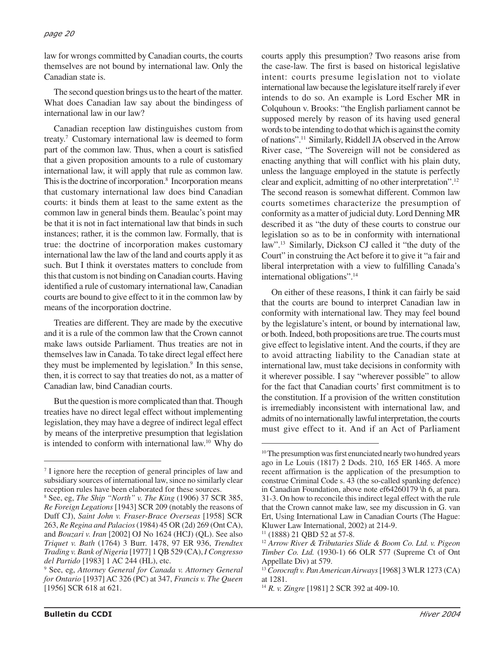#### *page 20*

law for wrongs committed by Canadian courts, the courts themselves are not bound by international law. Only the Canadian state is.

The second question brings us to the heart of the matter. What does Canadian law say about the bindingess of international law in our law?

Canadian reception law distinguishes custom from treaty.7 Customary international law is deemed to form part of the common law. Thus, when a court is satisfied that a given proposition amounts to a rule of customary international law, it will apply that rule as common law. This is the doctrine of incorporation.<sup>8</sup> Incorporation means that customary international law does bind Canadian courts: it binds them at least to the same extent as the common law in general binds them. Beaulac's point may be that it is not in fact international law that binds in such instances; rather, it is the common law. Formally, that is true: the doctrine of incorporation makes customary international law the law of the land and courts apply it as such. But I think it overstates matters to conclude from this that custom is not binding on Canadian courts. Having identified a rule of customary international law, Canadian courts are bound to give effect to it in the common law by means of the incorporation doctrine.

Treaties are different. They are made by the executive and it is a rule of the common law that the Crown cannot make laws outside Parliament. Thus treaties are not in themselves law in Canada. To take direct legal effect here they must be implemented by legislation.<sup>9</sup> In this sense, then, it is correct to say that treaties do not, as a matter of Canadian law, bind Canadian courts.

But the question is more complicated than that. Though treaties have no direct legal effect without implementing legislation, they may have a degree of indirect legal effect by means of the interpretive presumption that legislation is intended to conform with international law.10 Why do

courts apply this presumption? Two reasons arise from the case-law. The first is based on historical legislative intent: courts presume legislation not to violate international law because the legislature itself rarely if ever intends to do so. An example is Lord Escher MR in Colquhoun v. Brooks: "the English parliament cannot be supposed merely by reason of its having used general words to be intending to do that which is against the comity of nations".11 Similarly, Riddell JA observed in the Arrow River case, "The Sovereign will not be considered as enacting anything that will conflict with his plain duty, unless the language employed in the statute is perfectly clear and explicit, admitting of no other interpretation".12 The second reason is somewhat different. Common law courts sometimes characterize the presumption of conformity as a matter of judicial duty. Lord Denning MR described it as "the duty of these courts to construe our legislation so as to be in conformity with international law".13 Similarly, Dickson CJ called it "the duty of the Court" in construing the Act before it to give it "a fair and liberal interpretation with a view to fulfilling Canada's international obligations".14

On either of these reasons, I think it can fairly be said that the courts are bound to interpret Canadian law in conformity with international law. They may feel bound by the legislature's intent, or bound by international law, or both. Indeed, both propositions are true. The courts must give effect to legislative intent. And the courts, if they are to avoid attracting liability to the Canadian state at international law, must take decisions in conformity with it wherever possible. I say "wherever possible" to allow for the fact that Canadian courts' first commitment is to the constitution. If a provision of the written constitution is irremediably inconsistent with international law, and admits of no internationally lawful interpretation, the courts must give effect to it. And if an Act of Parliament

<sup>&</sup>lt;sup>7</sup> I ignore here the reception of general principles of law and subsidiary sources of international law, since no similarly clear reception rules have been elaborated for these sources.

<sup>8</sup> See, eg, *The Ship "North" v. The King* (1906) 37 SCR 385, *Re Foreign Legations* [1943] SCR 209 (notably the reasons of Duff CJ), *Saint John v. Fraser-Brace Overseas* [1958] SCR 263, *Re Regina and Palacios*(1984) 45 OR (2d) 269 (Ont CA), and *Bouzari v. Iran* [2002] OJ No 1624 (HCJ) (QL). See also *Triquet v. Bath* (1764) 3 Burr. 1478, 97 ER 936, *Trendtex Trading v. Bank of Nigeria* [1977] 1 QB 529 (CA), *I Congresso del Partido* [1983] 1 AC 244 (HL), etc.

<sup>9</sup> See, eg, *Attorney General for Canada v. Attorney General for Ontario* [1937] AC 326 (PC) at 347, *Francis v. The Queen* [1956] SCR 618 at 621.

<sup>&</sup>lt;sup>10</sup>The presumption was first enunciated nearly two hundred years ago in Le Louis (1817) 2 Dods. 210, 165 ER 1465. A more recent affirmation is the application of the presumption to construe Criminal Code s. 43 (the so-called spanking defence) in Canadian Foundation, above note ef64260179 \h 6, at para. 31-3. On how to reconcile this indirect legal effect with the rule that the Crown cannot make law, see my discussion in G. van Ert, Using International Law in Canadian Courts (The Hague: Kluwer Law International, 2002) at 214-9.

<sup>11 (1888) 21</sup> QBD 52 at 57-8.

<sup>12</sup> *Arrow River & Tributaries Slide & Boom Co. Ltd. v. Pigeon Timber Co. Ltd.* (1930-1) 66 OLR 577 (Supreme Ct of Ont Appellate Div) at 579.

<sup>13</sup> *Corocraft v. Pan American Airways*[1968] 3 WLR 1273 (CA) at 1281.

<sup>14</sup> *R. v. Zingre* [1981] 2 SCR 392 at 409-10.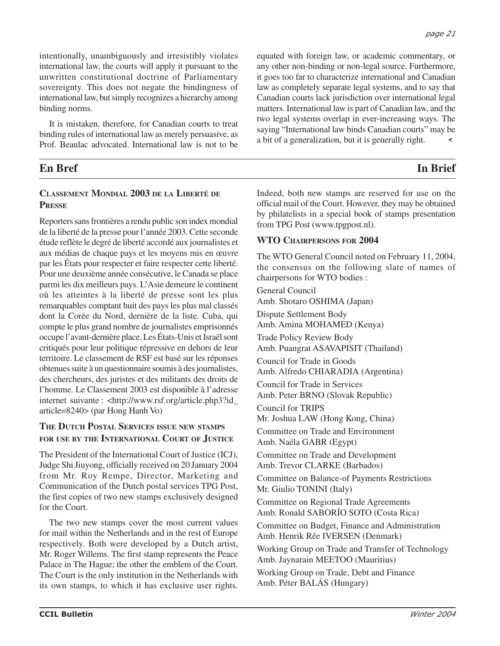intentionally, unambiguously and irresistibly violates international law, the courts will apply it pursuant to the unwritten constitutional doctrine of Parliamentary sovereignty. This does not negate the bindingness of international law, but simply recognizes a hierarchy among binding norms.

It is mistaken, therefore, for Canadian courts to treat binding rules of international law as merely persuasive, as Prof. Beaulac advocated. International law is not to be

# **En Bref In Brief**

#### **CLASSEMENT MONDIAL 2003 DE LA LIBERTÉ DE PRESSE**

Reporters sans frontières a rendu public son index mondial de la liberté de la presse pour l'année 2003. Cette seconde étude reflète le degré de liberté accordé aux journalistes et aux médias de chaque pays et les moyens mis en œuvre par les États pour respecter et faire respecter cette liberté. Pour une deuxième année consécutive, le Canada se place parmi les dix meilleurs pays. L'Asie demeure le continent où les atteintes à la liberté de presse sont les plus remarquables comptant huit des pays les plus mal classés dont la Corée du Nord, dernière de la liste. Cuba, qui compte le plus grand nombre de journalistes emprisonnés occupe l'avant-dernière place. Les États-Unis et Israël sont critiqués pour leur politique répressive en dehors de leur territoire. Le classement de RSF est basé sur les réponses obtenues suite à un questionnaire soumis à des journalistes, des chercheurs, des juristes et des militants des droits de l'homme. Le Classement 2003 est disponible à l'adresse internet suivante : <http://www.rsf.org/article.php3?id\_ article=8240> (par Hong Hanh Vo)

#### **THE DUTCH POSTAL SERVICES ISSUE NEW STAMPS FOR USE BY THE INTERNATIONAL COURT OF JUSTICE**

The President of the International Court of Justice (ICJ), Judge Shi Jiuyong, officially received on 20 January 2004 from Mr. Roy Rempe, Director, Marketing and Communication of the Dutch postal services TPG Post, the first copies of two new stamps exclusively designed for the Court.

The two new stamps cover the most current values for mail within the Netherlands and in the rest of Europe respectively. Both were developed by a Dutch artist, Mr. Roger Willems. The first stamp represents the Peace Palace in The Hague; the other the emblem of the Court. The Court is the only institution in the Netherlands with its own stamps, to which it has exclusive user rights. equated with foreign law, or academic commentary, or any other non-binding or non-legal source. Furthermore, it goes too far to characterize international and Canadian law as completely separate legal systems, and to say that Canadian courts lack jurisdiction over international legal matters. International law is part of Canadian law, and the two legal systems overlap in ever-increasing ways. The saying "International law binds Canadian courts" may be a bit of a generalization, but it is generally right.

*page 21*

Indeed, both new stamps are reserved for use on the official mail of the Court. However, they may be obtained by philatelists in a special book of stamps presentation from TPG Post (www.tpgpost.nl).

#### **WTO CHAIRPERSONS FOR 2004**

The WTO General Council noted on February 11, 2004, the consensus on the following slate of names of chairpersons for WTO bodies :

General Council Amb. Shotaro OSHIMA (Japan) Dispute Settlement Body Amb. Amina MOHAMED (Kenya) Trade Policy Review Body Amb. Puangrat ASAVAPISIT (Thailand) Council for Trade in Goods Amb. Alfredo CHIARADIA (Argentina) Council for Trade in Services Amb. Peter BRNO (Slovak Republic) Council for TRIPS Mr. Joshua LAW (Hong Kong, China) Committee on Trade and Environment Amb. Naéla GABR (Egypt) Committee on Trade and Development Amb. Trevor CLARKE (Barbados) Committee on Balance-of Payments Restrictions Mr. Giulio TONINI (Italy) Committee on Regional Trade Agreements Amb. Ronald SABORÍO SOTO (Costa Rica) Committee on Budget, Finance and Administration Amb. Henrik Rée IVERSEN (Denmark) Working Group on Trade and Transfer of Technology Amb. Jaynarain MEETOO (Mauritius) Working Group on Trade, Debt and Finance Amb. Péter BALÁS (Hungary)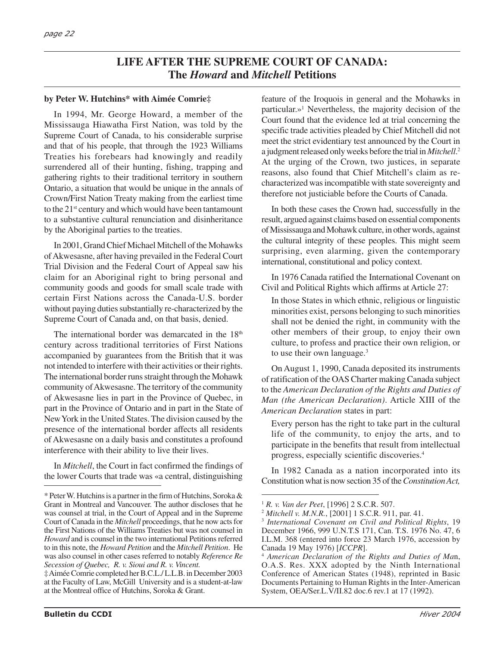# **LIFE AFTER THE SUPREME COURT OF CANADA: The** *Howard* **and** *Mitchell* **Petitions**

#### **by Peter W. Hutchins\* with Aimée Comrie‡**

In 1994, Mr. George Howard, a member of the Mississauga Hiawatha First Nation, was told by the Supreme Court of Canada, to his considerable surprise and that of his people, that through the 1923 Williams Treaties his forebears had knowingly and readily surrendered all of their hunting, fishing, trapping and gathering rights to their traditional territory in southern Ontario, a situation that would be unique in the annals of Crown/First Nation Treaty making from the earliest time to the 21st century and which would have been tantamount to a substantive cultural renunciation and disinheritance by the Aboriginal parties to the treaties.

In 2001, Grand Chief Michael Mitchell of the Mohawks of Akwesasne, after having prevailed in the Federal Court Trial Division and the Federal Court of Appeal saw his claim for an Aboriginal right to bring personal and community goods and goods for small scale trade with certain First Nations across the Canada-U.S. border without paying duties substantially re-characterized by the Supreme Court of Canada and, on that basis, denied.

The international border was demarcated in the  $18<sup>th</sup>$ century across traditional territories of First Nations accompanied by guarantees from the British that it was not intended to interfere with their activities or their rights. The international border runs straight through the Mohawk community of Akwesasne. The territory of the community of Akwesasne lies in part in the Province of Quebec, in part in the Province of Ontario and in part in the State of New York in the United States. The division caused by the presence of the international border affects all residents of Akwesasne on a daily basis and constitutes a profound interference with their ability to live their lives.

In *Mitchell*, the Court in fact confirmed the findings of the lower Courts that trade was «a central, distinguishing feature of the Iroquois in general and the Mohawks in particular.»1 Nevertheless, the majority decision of the Court found that the evidence led at trial concerning the specific trade activities pleaded by Chief Mitchell did not meet the strict evidentiary test announced by the Court in a judgment released only weeks before the trial in *Mitchell*. 2 At the urging of the Crown, two justices, in separate reasons, also found that Chief Mitchell's claim as recharacterized was incompatible with state sovereignty and therefore not justiciable before the Courts of Canada.

In both these cases the Crown had, successfully in the result, argued against claims based on essential components of Mississauga and Mohawk culture, in other words, against the cultural integrity of these peoples. This might seem surprising, even alarming, given the contemporary international, constitutional and policy context.

In 1976 Canada ratified the International Covenant on Civil and Political Rights which affirms at Article 27:

In those States in which ethnic, religious or linguistic minorities exist, persons belonging to such minorities shall not be denied the right, in community with the other members of their group, to enjoy their own culture, to profess and practice their own religion, or to use their own language.<sup>3</sup>

On August 1, 1990, Canada deposited its instruments of ratification of the OAS Charter making Canada subject to the *American Declaration of the Rights and Duties of Man (the American Declaration)*. Article XIII of the *American Declaration* states in part:

Every person has the right to take part in the cultural life of the community, to enjoy the arts, and to participate in the benefits that result from intellectual progress, especially scientific discoveries.4

In 1982 Canada as a nation incorporated into its Constitution what is now section 35 of the *Constitution Act,*

<sup>\*</sup> Peter W. Hutchins is a partner in the firm of Hutchins, Soroka & Grant in Montreal and Vancouver. The author discloses that he was counsel at trial, in the Court of Appeal and in the Supreme Court of Canada in the *Mitchell* proceedings, that he now acts for the First Nations of the Williams Treaties but was not counsel in *Howard* and is counsel in the two international Petitions referred to in this note, the *Howard Petition* and the *Mitchell Petition*. He was also counsel in other cases referred to notably *Reference Re Secession of Quebec, R. v. Sioui and R. v. Vincent.*

<sup>‡</sup> Aimée Comrie completed her B.C.L./ L.L.B. in December 2003 at the Faculty of Law, McGill University and is a student-at-law at the Montreal office of Hutchins, Soroka & Grant.

<sup>1</sup> *R. v. Van der Peet*, [1996] 2 S.C.R. 507.

<sup>2</sup> *Mitchell v. M.N.R.*, [2001] 1 S.C.R. 911, par. 41.

<sup>3</sup> *International Covenant on Civil and Political Rights*, 19 December 1966, 999 U.N.T.S 171, Can. T.S. 1976 No. 47, 6 I.L.M. 368 (entered into force 23 March 1976, accession by Canada 19 May 1976) [*ICCPR*].

<sup>4</sup> *American Declaration of the Rights and Duties of Ma*n, O.A.S. Res. XXX adopted by the Ninth International Conference of American States (1948), reprinted in Basic Documents Pertaining to Human Rights in the Inter-American System, OEA/Ser.L.V/II.82 doc.6 rev.1 at 17 (1992).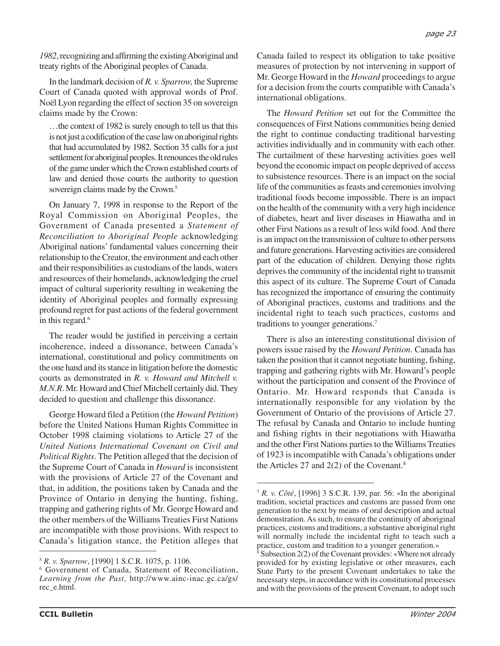*1982*, recognizing and affirming the existing Aboriginal and treaty rights of the Aboriginal peoples of Canada.

In the landmark decision of *R. v. Sparrow,* the Supreme Court of Canada quoted with approval words of Prof. Noël Lyon regarding the effect of section 35 on sovereign claims made by the Crown:

…the context of 1982 is surely enough to tell us that this is not just a codification of the case law on aboriginal rights that had accumulated by 1982. Section 35 calls for a just settlement for aboriginal peoples. It renounces the old rules of the game under which the Crown established courts of law and denied those courts the authority to question sovereign claims made by the Crown.<sup>5</sup>

On January 7, 1998 in response to the Report of the Royal Commission on Aboriginal Peoples, the Government of Canada presented a *Statement of Reconciliation to Aboriginal People* acknowledging Aboriginal nations' fundamental values concerning their relationship to the Creator, the environment and each other and their responsibilities as custodians of the lands, waters and resources of their homelands, acknowledging the cruel impact of cultural superiority resulting in weakening the identity of Aboriginal peoples and formally expressing profound regret for past actions of the federal government in this regard.<sup>6</sup>

The reader would be justified in perceiving a certain incoherence, indeed a dissonance, between Canada's international, constitutional and policy commitments on the one hand and its stance in litigation before the domestic courts as demonstrated in *R. v. Howard and Mitchell v. M.N.R*. Mr. Howard and Chief Mitchell certainly did. They decided to question and challenge this dissonance.

George Howard filed a Petition (the *Howard Petition*) before the United Nations Human Rights Committee in October 1998 claiming violations to Article 27 of the *United Nations International Covenant on Civil and Political Rights*. The Petition alleged that the decision of the Supreme Court of Canada in *Howard* is inconsistent with the provisions of Article 27 of the Covenant and that, in addition, the positions taken by Canada and the Province of Ontario in denying the hunting, fishing, trapping and gathering rights of Mr. George Howard and the other members of the Williams Treaties First Nations are incompatible with those provisions. With respect to Canada's litigation stance, the Petition alleges that Canada failed to respect its obligation to take positive measures of protection by not intervening in support of Mr. George Howard in the *Howard* proceedings to argue for a decision from the courts compatible with Canada's international obligations.

The *Howard Petition* set out for the Committee the consequences of First Nations communities being denied the right to continue conducting traditional harvesting activities individually and in community with each other. The curtailment of these harvesting activities goes well beyond the economic impact on people deprived of access to subsistence resources. There is an impact on the social life of the communities as feasts and ceremonies involving traditional foods become impossible. There is an impact on the health of the community with a very high incidence of diabetes, heart and liver diseases in Hiawatha and in other First Nations as a result of less wild food. And there is an impact on the transmission of culture to other persons and future generations. Harvesting activities are considered part of the education of children. Denying those rights deprives the community of the incidental right to transmit this aspect of its culture. The Supreme Court of Canada has recognized the importance of ensuring the continuity of Aboriginal practices, customs and traditions and the incidental right to teach such practices, customs and traditions to younger generations.7

There is also an interesting constitutional division of powers issue raised by the *Howard Petition*. Canada has taken the position that it cannot negotiate hunting, fishing, trapping and gathering rights with Mr. Howard's people without the participation and consent of the Province of Ontario. Mr. Howard responds that Canada is internationally responsible for any violation by the Government of Ontario of the provisions of Article 27. The refusal by Canada and Ontario to include hunting and fishing rights in their negotiations with Hiawatha and the other First Nations parties to the Williams Treaties of 1923 is incompatible with Canada's obligations under the Articles 27 and  $2(2)$  of the Covenant.<sup>8</sup>

<sup>5</sup> *R. v. Sparrow*, [1990] 1 S.C.R. 1075, p. 1106.

<sup>6</sup> Government of Canada, Statement of Reconciliation, *Learning from the Past*, http://www.ainc-inac.gc.ca/gs/ rec\_e.html.

<sup>7</sup> *R. v. Côté*, [1996] 3 S.C.R. 139, par. 56: «In the aboriginal tradition, societal practices and customs are passed from one generation to the next by means of oral description and actual demonstration. As such, to ensure the continuity of aboriginal practices, customs and traditions, a substantive aboriginal right will normally include the incidental right to teach such a practice, custom and tradition to a younger generation.»

 $\frac{8}{8}$  Subsection 2(2) of the Covenant provides: «Where not already provided for by existing legislative or other measures, each State Party to the present Covenant undertakes to take the necessary steps, in accordance with its constitutional processes and with the provisions of the present Covenant, to adopt such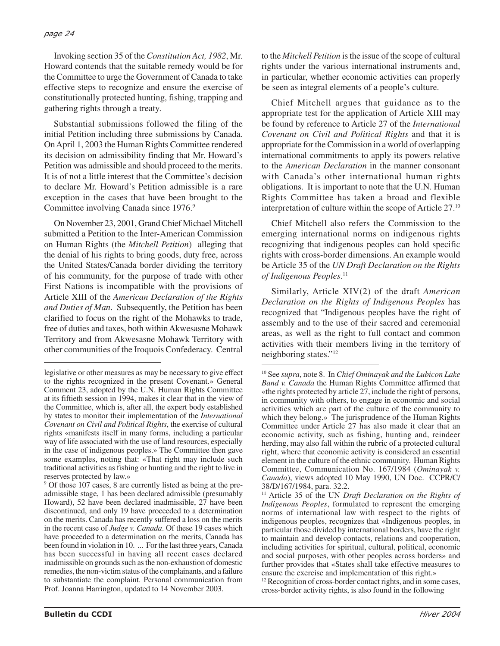#### *page 24*

Invoking section 35 of the *Constitution Act, 1982*, Mr. Howard contends that the suitable remedy would be for the Committee to urge the Government of Canada to take effective steps to recognize and ensure the exercise of constitutionally protected hunting, fishing, trapping and gathering rights through a treaty.

Substantial submissions followed the filing of the initial Petition including three submissions by Canada. On April 1, 2003 the Human Rights Committee rendered its decision on admissibility finding that Mr. Howard's Petition was admissible and should proceed to the merits. It is of not a little interest that the Committee's decision to declare Mr. Howard's Petition admissible is a rare exception in the cases that have been brought to the Committee involving Canada since 1976.<sup>9</sup>

On November 23, 2001, Grand Chief Michael Mitchell submitted a Petition to the Inter-American Commission on Human Rights (the *Mitchell Petition*) alleging that the denial of his rights to bring goods, duty free, across the United States/Canada border dividing the territory of his community, for the purpose of trade with other First Nations is incompatible with the provisions of Article XIII of the *American Declaration of the Rights and Duties of Man*. Subsequently, the Petition has been clarified to focus on the right of the Mohawks to trade, free of duties and taxes, both within Akwesasne Mohawk Territory and from Akwesasne Mohawk Territory with other communities of the Iroquois Confederacy. Central

<sup>9</sup> Of those 107 cases, 8 are currently listed as being at the preadmissible stage, 1 has been declared admissible (presumably Howard), 52 have been declared inadmissible, 27 have been discontinued, and only 19 have proceeded to a determination on the merits. Canada has recently suffered a loss on the merits in the recent case of *Judge v. Canada*. Of these 19 cases which have proceeded to a determination on the merits, Canada has been found in violation in 10. ... For the last three years, Canada has been successful in having all recent cases declared inadmissible on grounds such as the non-exhaustion of domestic remedies, the non-victim status of the complainants, and a failure to substantiate the complaint. Personal communication from Prof. Joanna Harrington, updated to 14 November 2003.

to the *Mitchell Petition* is the issue of the scope of cultural rights under the various international instruments and, in particular, whether economic activities can properly be seen as integral elements of a people's culture.

Chief Mitchell argues that guidance as to the appropriate test for the application of Article XIII may be found by reference to Article 27 of the *International Covenant on Civil and Political Rights* and that it is appropriate for the Commission in a world of overlapping international commitments to apply its powers relative to the *American Declaration* in the manner consonant with Canada's other international human rights obligations. It is important to note that the U.N. Human Rights Committee has taken a broad and flexible interpretation of culture within the scope of Article 27.10

Chief Mitchell also refers the Commission to the emerging international norms on indigenous rights recognizing that indigenous peoples can hold specific rights with cross-border dimensions. An example would be Article 35 of the *UN Draft Declaration on the Rights of Indigenous Peoples*. 11

Similarly, Article XIV(2) of the draft *American Declaration on the Rights of Indigenous Peoples* has recognized that "Indigenous peoples have the right of assembly and to the use of their sacred and ceremonial areas, as well as the right to full contact and common activities with their members living in the territory of neighboring states."12

<sup>12</sup> Recognition of cross-border contact rights, and in some cases, cross-border activity rights, is also found in the following

legislative or other measures as may be necessary to give effect to the rights recognized in the present Covenant.» General Comment 23, adopted by the U.N. Human Rights Committee at its fiftieth session in 1994, makes it clear that in the view of the Committee, which is, after all, the expert body established by states to monitor their implementation of the *International Covenant on Civil and Political Rights*, the exercise of cultural rights «manifests itself in many forms, including a particular way of life associated with the use of land resources, especially in the case of indigenous peoples.» The Committee then gave some examples, noting that: «That right may include such traditional activities as fishing or hunting and the right to live in reserves protected by law.»

<sup>10</sup> See *supra*, note 8. In *Chief Ominayak and the Lubicon Lake Band v. Canada* the Human Rights Committee affirmed that «the rights protected by article 27, include the right of persons, in community with others, to engage in economic and social activities which are part of the culture of the community to which they belong.» The jurisprudence of the Human Rights Committee under Article 27 has also made it clear that an economic activity, such as fishing, hunting and, reindeer herding, may also fall within the rubric of a protected cultural right, where that economic activity is considered an essential element in the culture of the ethnic community. Human Rights Committee, Communication No. 167/1984 (*Ominayak v. Canada*), views adopted 10 May 1990, UN Doc. CCPR/C/ 38/D/167/1984, para. 32.2.

<sup>11</sup> Article 35 of the UN *Draft Declaration on the Rights of Indigenous Peoples*, formulated to represent the emerging norms of international law with respect to the rights of indigenous peoples, recognizes that «Indigenous peoples, in particular those divided by international borders, have the right to maintain and develop contacts, relations and cooperation, including activities for spiritual, cultural, political, economic and social purposes, with other peoples across borders» and further provides that «States shall take effective measures to ensure the exercise and implementation of this right.»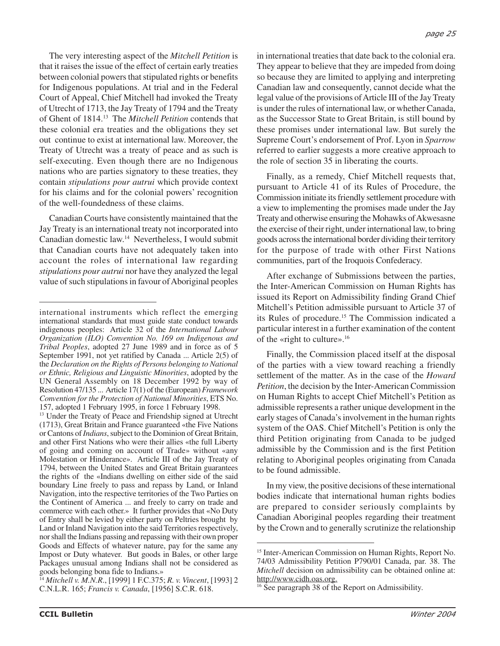The very interesting aspect of the *Mitchell Petition* is that it raises the issue of the effect of certain early treaties between colonial powers that stipulated rights or benefits for Indigenous populations. At trial and in the Federal Court of Appeal, Chief Mitchell had invoked the Treaty of Utrecht of 1713, the Jay Treaty of 1794 and the Treaty of Ghent of 1814.13 The *Mitchell Petition* contends that these colonial era treaties and the obligations they set out continue to exist at international law. Moreover, the Treaty of Utrecht was a treaty of peace and as such is self-executing. Even though there are no Indigenous nations who are parties signatory to these treaties, they contain *stipulations pour autrui* which provide context for his claims and for the colonial powers' recognition of the well-foundedness of these claims.

Canadian Courts have consistently maintained that the Jay Treaty is an international treaty not incorporated into Canadian domestic law.14 Nevertheless, I would submit that Canadian courts have not adequately taken into account the roles of international law regarding *stipulations pour autrui* nor have they analyzed the legal value of such stipulations in favour of Aboriginal peoples

in international treaties that date back to the colonial era. They appear to believe that they are impeded from doing so because they are limited to applying and interpreting Canadian law and consequently, cannot decide what the legal value of the provisions of Article III of the Jay Treaty is under the rules of international law, or whether Canada, as the Successor State to Great Britain, is still bound by these promises under international law. But surely the Supreme Court's endorsement of Prof. Lyon in *Sparrow* referred to earlier suggests a more creative approach to the role of section 35 in liberating the courts.

Finally, as a remedy, Chief Mitchell requests that, pursuant to Article 41 of its Rules of Procedure, the Commission initiate its friendly settlement procedure with a view to implementing the promises made under the Jay Treaty and otherwise ensuring the Mohawks of Akwesasne the exercise of their right, under international law, to bring goods across the international border dividing their territory for the purpose of trade with other First Nations communities, part of the Iroquois Confederacy.

After exchange of Submissions between the parties, the Inter-American Commission on Human Rights has issued its Report on Admissibility finding Grand Chief Mitchell's Petition admissible pursuant to Article 37 of its Rules of procedure.<sup>15</sup> The Commission indicated a particular interest in a further examination of the content of the «right to culture».16

Finally, the Commission placed itself at the disposal of the parties with a view toward reaching a friendly settlement of the matter. As in the case of the *Howard Petition*, the decision by the Inter-American Commission on Human Rights to accept Chief Mitchell's Petition as admissible represents a rather unique development in the early stages of Canada's involvement in the human rights system of the OAS. Chief Mitchell's Petition is only the third Petition originating from Canada to be judged admissible by the Commission and is the first Petition relating to Aboriginal peoples originating from Canada to be found admissible.

In my view, the positive decisions of these international bodies indicate that international human rights bodies are prepared to consider seriously complaints by Canadian Aboriginal peoples regarding their treatment by the Crown and to generally scrutinize the relationship

international instruments which reflect the emerging international standards that must guide state conduct towards indigenous peoples: Article 32 of the *International Labour Organization (ILO) Convention No. 169 on Indigenous and Tribal Peoples*, adopted 27 June 1989 and in force as of 5 September 1991, not yet ratified by Canada ... Article 2(5) of the *Declaration on the Rights of Persons belonging to National or Ethnic, Religious and Linguistic Minorities*, adopted by the UN General Assembly on 18 December 1992 by way of Resolution 47/135 ... Article 17(1) of the (European) *Framework Convention for the Protection of National Minorities*, ETS No. 157, adopted 1 February 1995, in force 1 February 1998.

<sup>&</sup>lt;sup>13</sup> Under the Treaty of Peace and Friendship signed at Utrecht (1713), Great Britain and France guaranteed «the Five Nations or Cantons of *Indians*, subject to the Dominion of Great Britain, and other First Nations who were their allies «the full Liberty of going and coming on account of Trade» without «any Molestation or Hinderance». Article III of the Jay Treaty of 1794, between the United States and Great Britain guarantees the rights of the «Indians dwelling on either side of the said boundary Line freely to pass and repass by Land, or Inland Navigation, into the respective territories of the Two Parties on the Continent of America ... and freely to carry on trade and commerce with each other.» It further provides that «No Duty of Entry shall be levied by either party on Peltries brought by Land or Inland Navigation into the said Territories respectively, nor shall the Indians passing and repassing with their own proper Goods and Effects of whatever nature, pay for the same any Impost or Duty whatever. But goods in Bales, or other large Packages unusual among Indians shall not be considered as goods belonging bona fide to Indians.»

<sup>14</sup> *Mitchell v. M.N.R*., [1999] 1 F.C.375; *R. v. Vincent*, [1993] 2 C.N.L.R. 165; *Francis v. Canada*, [1956] S.C.R. 618.

<sup>15</sup> Inter-American Commission on Human Rights, Report No. 74/03 Admissibility Petition P790/01 Canada, par. 38. The *Mitchell* decision on admissibility can be obtained online at: http://www.cidh.oas.org.

<sup>&</sup>lt;sup>16</sup> See paragraph 38 of the Report on Admissibility.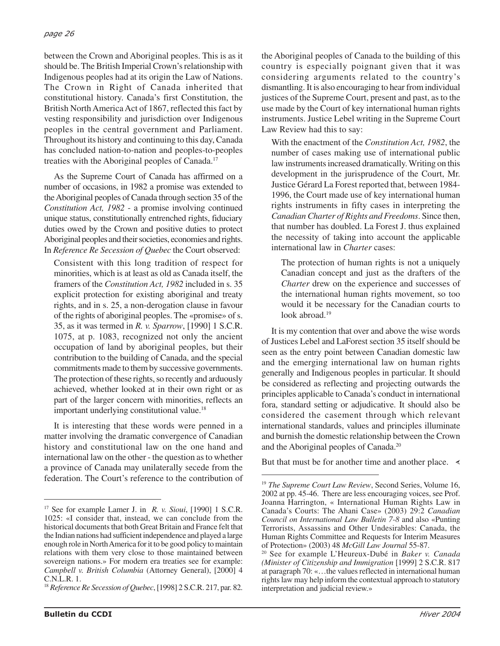#### *page 26*

between the Crown and Aboriginal peoples. This is as it should be. The British Imperial Crown's relationship with Indigenous peoples had at its origin the Law of Nations. The Crown in Right of Canada inherited that constitutional history. Canada's first Constitution, the British North America Act of 1867, reflected this fact by vesting responsibility and jurisdiction over Indigenous peoples in the central government and Parliament. Throughout its history and continuing to this day, Canada has concluded nation-to-nation and peoples-to-peoples treaties with the Aboriginal peoples of Canada.<sup>17</sup>

As the Supreme Court of Canada has affirmed on a number of occasions, in 1982 a promise was extended to the Aboriginal peoples of Canada through section 35 of the *Constitution Act, 1982* - a promise involving continued unique status, constitutionally entrenched rights, fiduciary duties owed by the Crown and positive duties to protect Aboriginal peoples and their societies, economies and rights. In *Reference Re Secession of Quebec* the Court observed:

Consistent with this long tradition of respect for minorities, which is at least as old as Canada itself, the framers of the *Constitution Act, 1982* included in s. 35 explicit protection for existing aboriginal and treaty rights, and in s. 25, a non-derogation clause in favour of the rights of aboriginal peoples. The «promise» of s. 35, as it was termed in *R. v. Sparrow*, [1990] 1 S.C.R. 1075, at p. 1083, recognized not only the ancient occupation of land by aboriginal peoples, but their contribution to the building of Canada, and the special commitments made to them by successive governments. The protection of these rights, so recently and arduously achieved, whether looked at in their own right or as part of the larger concern with minorities, reflects an important underlying constitutional value.<sup>18</sup>

It is interesting that these words were penned in a matter involving the dramatic convergence of Canadian history and constitutional law on the one hand and international law on the other - the question as to whether a province of Canada may unilaterally secede from the federation. The Court's reference to the contribution of the Aboriginal peoples of Canada to the building of this country is especially poignant given that it was considering arguments related to the country's dismantling. It is also encouraging to hear from individual justices of the Supreme Court, present and past, as to the use made by the Court of key international human rights instruments. Justice Lebel writing in the Supreme Court Law Review had this to say:

With the enactment of the *Constitution Act, 1982*, the number of cases making use of international public law instruments increased dramatically. Writing on this development in the jurisprudence of the Court, Mr. Justice Gérard La Forest reported that, between 1984- 1996, the Court made use of key international human rights instruments in fifty cases in interpreting the *Canadian Charter of Rights and Freedoms*. Since then, that number has doubled. La Forest J. thus explained the necessity of taking into account the applicable international law in *Charter* cases:

The protection of human rights is not a uniquely Canadian concept and just as the drafters of the *Charter* drew on the experience and successes of the international human rights movement, so too would it be necessary for the Canadian courts to look abroad.<sup>19</sup>

It is my contention that over and above the wise words of Justices Lebel and LaForest section 35 itself should be seen as the entry point between Canadian domestic law and the emerging international law on human rights generally and Indigenous peoples in particular. It should be considered as reflecting and projecting outwards the principles applicable to Canada's conduct in international fora, standard setting or adjudicative. It should also be considered the casement through which relevant international standards, values and principles illuminate and burnish the domestic relationship between the Crown and the Aboriginal peoples of Canada.20

But that must be for another time and another place.  $\prec$ 

<sup>17</sup> See for example Lamer J. in *R. v. Sioui*, [1990] 1 S.C.R. 1025: «I consider that, instead, we can conclude from the historical documents that both Great Britain and France felt that the Indian nations had sufficient independence and played a large enough role in North America for it to be good policy to maintain relations with them very close to those maintained between sovereign nations.» For modern era treaties see for example: *Campbell v. British Columbia* (Attorney General), [2000] 4 C.N.L.R. 1.

<sup>18</sup> *Reference Re Secession of Quebec*, [1998] 2 S.C.R. 217, par. 82.

<sup>&</sup>lt;sup>19</sup> The Supreme Court Law Review, Second Series, Volume 16, 2002 at pp. 45-46. There are less encouraging voices, see Prof. Joanna Harrington, « International Human Rights Law in Canada's Courts: The Ahani Case» (2003) 29:2 *Canadian Council on International Law Bulletin 7-8* and also «Punting Terrorists, Assassins and Other Undesirables: Canada, the Human Rights Committee and Requests for Interim Measures of Protection» (2003) 48 *McGill Law Journal* 55-87.

<sup>20</sup> See for example L'Heureux-Dubé in *Baker v. Canada (Minister of Citizenship and Immigration* [1999] 2 S.C.R. 817 at paragraph 70: «…the values reflected in international human rights law may help inform the contextual approach to statutory interpretation and judicial review.»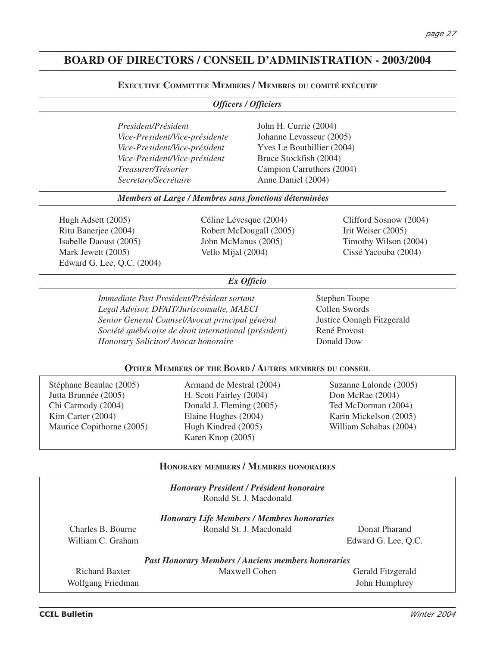# **BOARD OF DIRECTORS / CONSEIL D'ADMINISTRATION - 2003/2004**

#### **EXECUTIVE COMMITTEE MEMBERS / MEMBRES DU COMITÉ EXÉCUTIF**

|                                                                                                                          |                                                                                                                                                                                                                                                               | <b>Officers / Officiers</b>                                                                       |                                                                                                                       |
|--------------------------------------------------------------------------------------------------------------------------|---------------------------------------------------------------------------------------------------------------------------------------------------------------------------------------------------------------------------------------------------------------|---------------------------------------------------------------------------------------------------|-----------------------------------------------------------------------------------------------------------------------|
| President/Président<br>Treasurer/Trésorier<br>Secretary/Secrétaire                                                       | Vice-President/Vice-présidente<br>Vice-President/Vice-président<br>Vice-President/Vice-président                                                                                                                                                              | John H. Currie (2004)<br>Johanne Levasseur (2005)<br>Bruce Stockfish (2004)<br>Anne Daniel (2004) | Yves Le Bouthillier (2004)<br>Campion Carruthers (2004)                                                               |
|                                                                                                                          | Members at Large / Membres sans fonctions déterminées                                                                                                                                                                                                         |                                                                                                   |                                                                                                                       |
| Hugh Adsett (2005)<br>Ritu Banerjee (2004)<br>Isabelle Daoust (2005)<br>Mark Jewett (2005)<br>Edward G. Lee, Q.C. (2004) | Céline Lévesque (2004)<br>Robert McDougall (2005)<br>John McManus (2005)<br>Vello Mijal (2004)                                                                                                                                                                |                                                                                                   | Clifford Sosnow (2004)<br>Irit Weiser (2005)<br>Timothy Wilson (2004)<br>Cissé Yacouba (2004)                         |
|                                                                                                                          |                                                                                                                                                                                                                                                               | Ex Officio                                                                                        |                                                                                                                       |
| Honorary Solicitor/Avocat honoraire                                                                                      | Immediate Past President/Président sortant<br>Legal Advisor, DFAIT/Jurisconsulte, MAECI<br>Senior General Counsel/Avocat principal général<br>Société québécoise de droit international (président)<br>OTHER MEMBERS OF THE BOARD / AUTRES MEMBRES DU CONSEIL |                                                                                                   | Stephen Toope<br>Collen Swords<br>Justice Oonagh Fitzgerald<br>René Provost<br>Donald Dow                             |
|                                                                                                                          |                                                                                                                                                                                                                                                               |                                                                                                   |                                                                                                                       |
| Stéphane Beaulac (2005)<br>Jutta Brunnée (2005)<br>Chi Carmody (2004)<br>Kim Carter (2004)<br>Maurice Copithorne (2005)  | Armand de Mestral (2004)<br>H. Scott Fairley (2004)<br>Donald J. Fleming (2005)<br>Elaine Hughes (2004)<br>Hugh Kindred (2005)<br>Karen Knop (2005)                                                                                                           |                                                                                                   | Suzanne Lalonde (2005)<br>Don McRae (2004)<br>Ted McDorman (2004)<br>Karin Mickelson (2005)<br>William Schabas (2004) |
|                                                                                                                          | <b>HONORARY MEMBERS / MEMBRES HONORAIRES</b>                                                                                                                                                                                                                  |                                                                                                   |                                                                                                                       |
|                                                                                                                          | <b>Honorary President / Président honoraire</b>                                                                                                                                                                                                               | Ronald St. J. Macdonald                                                                           |                                                                                                                       |
| Charles B. Bourne<br>William C. Graham                                                                                   | <b>Honorary Life Members / Membres honoraries</b>                                                                                                                                                                                                             | Ronald St. J. Macdonald                                                                           | Donat Pharand<br>Edward G. Lee, Q.C.                                                                                  |
|                                                                                                                          | <b>Past Honorary Members / Anciens members honoraries</b>                                                                                                                                                                                                     |                                                                                                   |                                                                                                                       |

| <b>Past Honorary Members / Anciens members honoraries</b> |               |                          |  |  |  |  |
|-----------------------------------------------------------|---------------|--------------------------|--|--|--|--|
| Richard Baxter                                            | Maxwell Cohen | <b>Gerald Fitzgerald</b> |  |  |  |  |
| Wolfgang Friedman                                         |               | John Humphrey            |  |  |  |  |

 $\overline{a}$